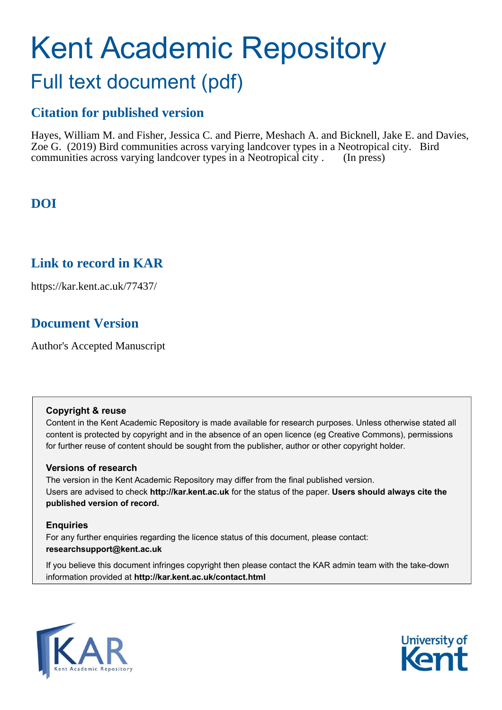# Kent Academic Repository Full text document (pdf)

## **Citation for published version**

Hayes, William M. and Fisher, Jessica C. and Pierre, Meshach A. and Bicknell, Jake E. and Davies, Zoe G. (2019) Bird communities across varying landcover types in a Neotropical city. Bird communities across varying landcover types in a Neotropical city . (In press)

## **DOI**

## **Link to record in KAR**

https://kar.kent.ac.uk/77437/

## **Document Version**

Author's Accepted Manuscript

#### **Copyright & reuse**

Content in the Kent Academic Repository is made available for research purposes. Unless otherwise stated all content is protected by copyright and in the absence of an open licence (eg Creative Commons), permissions for further reuse of content should be sought from the publisher, author or other copyright holder.

#### **Versions of research**

The version in the Kent Academic Repository may differ from the final published version. Users are advised to check **http://kar.kent.ac.uk** for the status of the paper. **Users should always cite the published version of record.**

#### **Enquiries**

For any further enquiries regarding the licence status of this document, please contact: **researchsupport@kent.ac.uk**

If you believe this document infringes copyright then please contact the KAR admin team with the take-down information provided at **http://kar.kent.ac.uk/contact.html**



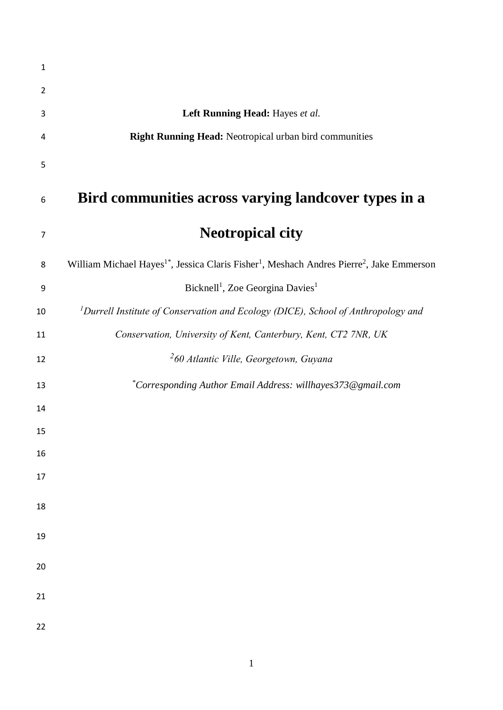| 1              |                                                                                                                               |
|----------------|-------------------------------------------------------------------------------------------------------------------------------|
| $\overline{2}$ |                                                                                                                               |
| 3              | Left Running Head: Hayes et al.                                                                                               |
| 4              | Right Running Head: Neotropical urban bird communities                                                                        |
| 5              |                                                                                                                               |
| 6              | Bird communities across varying landcover types in a                                                                          |
| $\overline{7}$ | <b>Neotropical city</b>                                                                                                       |
| 8              | William Michael Hayes <sup>1*</sup> , Jessica Claris Fisher <sup>1</sup> , Meshach Andres Pierre <sup>2</sup> , Jake Emmerson |
| 9              | Bicknell <sup>1</sup> , Zoe Georgina Davies <sup>1</sup>                                                                      |
| 10             | <sup>1</sup> Durrell Institute of Conservation and Ecology (DICE), School of Anthropology and                                 |
| 11             | Conservation, University of Kent, Canterbury, Kent, CT2 7NR, UK                                                               |
| 12             | <sup>2</sup> 60 Atlantic Ville, Georgetown, Guyana                                                                            |
| 13             | *Corresponding Author Email Address: willhayes373@gmail.com                                                                   |
| 14             |                                                                                                                               |
| 15             |                                                                                                                               |
| 16             |                                                                                                                               |
| 17             |                                                                                                                               |
| 18             |                                                                                                                               |
| 19             |                                                                                                                               |
| 20             |                                                                                                                               |
| 21             |                                                                                                                               |
| 22             |                                                                                                                               |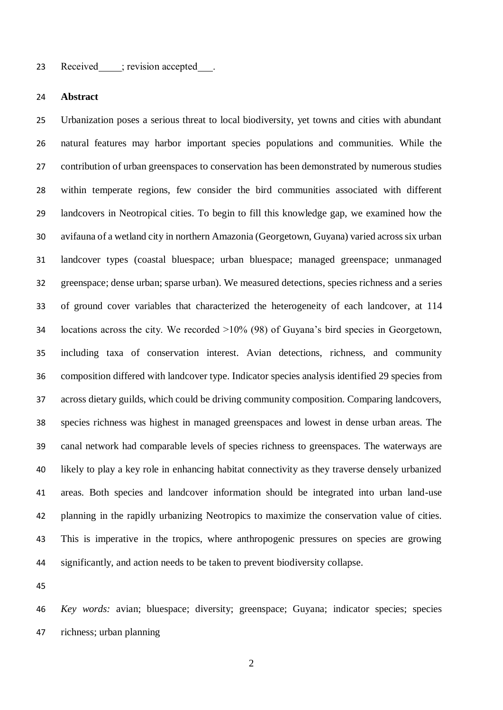#### 23 Received ; revision accepted .

#### **Abstract**

 Urbanization poses a serious threat to local biodiversity, yet towns and cities with abundant natural features may harbor important species populations and communities. While the contribution of urban greenspaces to conservation has been demonstrated by numerous studies within temperate regions, few consider the bird communities associated with different landcovers in Neotropical cities. To begin to fill this knowledge gap, we examined how the avifauna of a wetland city in northern Amazonia (Georgetown, Guyana) varied across six urban landcover types (coastal bluespace; urban bluespace; managed greenspace; unmanaged greenspace; dense urban; sparse urban). We measured detections, species richness and a series of ground cover variables that characterized the heterogeneity of each landcover, at 114 locations across the city. We recorded >10% (98) of Guyana's bird species in Georgetown, including taxa of conservation interest. Avian detections, richness, and community composition differed with landcover type. Indicator species analysis identified 29 species from across dietary guilds, which could be driving community composition. Comparing landcovers, species richness was highest in managed greenspaces and lowest in dense urban areas. The canal network had comparable levels of species richness to greenspaces. The waterways are likely to play a key role in enhancing habitat connectivity as they traverse densely urbanized areas. Both species and landcover information should be integrated into urban land-use planning in the rapidly urbanizing Neotropics to maximize the conservation value of cities. This is imperative in the tropics, where anthropogenic pressures on species are growing significantly, and action needs to be taken to prevent biodiversity collapse.

 *Key words:* avian; bluespace; diversity; greenspace; Guyana; indicator species; species richness; urban planning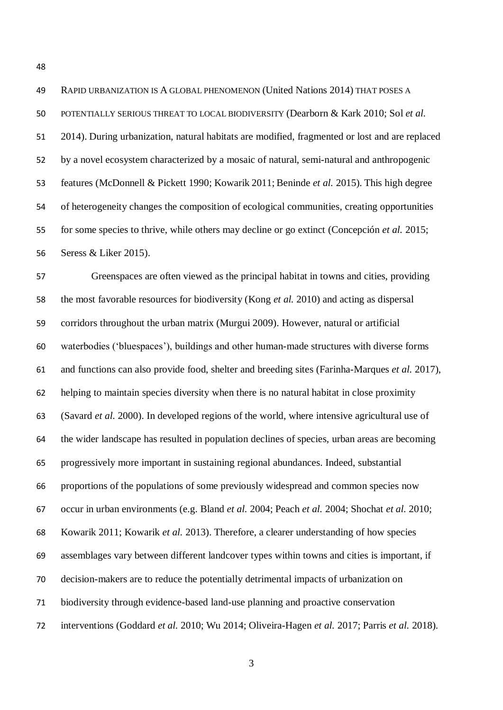RAPID URBANIZATION IS A GLOBAL PHENOMENON (United Nations 2014) THAT POSES A POTENTIALLY SERIOUS THREAT TO LOCAL BIODIVERSITY (Dearborn & Kark 2010; Sol *et al.* 2014). During urbanization, natural habitats are modified, fragmented or lost and are replaced by a novel ecosystem characterized by a mosaic of natural, semi-natural and anthropogenic features (McDonnell & Pickett 1990; Kowarik 2011; Beninde *et al.* 2015). This high degree of heterogeneity changes the composition of ecological communities, creating opportunities for some species to thrive, while others may decline or go extinct (Concepción *et al.* 2015; Seress & Liker 2015).

 Greenspaces are often viewed as the principal habitat in towns and cities, providing the most favorable resources for biodiversity (Kong *et al.* 2010) and acting as dispersal corridors throughout the urban matrix (Murgui 2009). However, natural or artificial waterbodies ('bluespaces'), buildings and other human-made structures with diverse forms and functions can also provide food, shelter and breeding sites (Farinha-Marques *et al.* 2017), helping to maintain species diversity when there is no natural habitat in close proximity (Savard *et al.* 2000). In developed regions of the world, where intensive agricultural use of the wider landscape has resulted in population declines of species, urban areas are becoming progressively more important in sustaining regional abundances. Indeed, substantial proportions of the populations of some previously widespread and common species now occur in urban environments (e.g. Bland *et al.* 2004; Peach *et al.* 2004; Shochat *et al.* 2010; Kowarik 2011; Kowarik *et al.* 2013). Therefore, a clearer understanding of how species assemblages vary between different landcover types within towns and cities is important, if decision-makers are to reduce the potentially detrimental impacts of urbanization on biodiversity through evidence-based land-use planning and proactive conservation interventions (Goddard *et al.* 2010; Wu 2014; Oliveira-Hagen *et al.* 2017; Parris *et al.* 2018).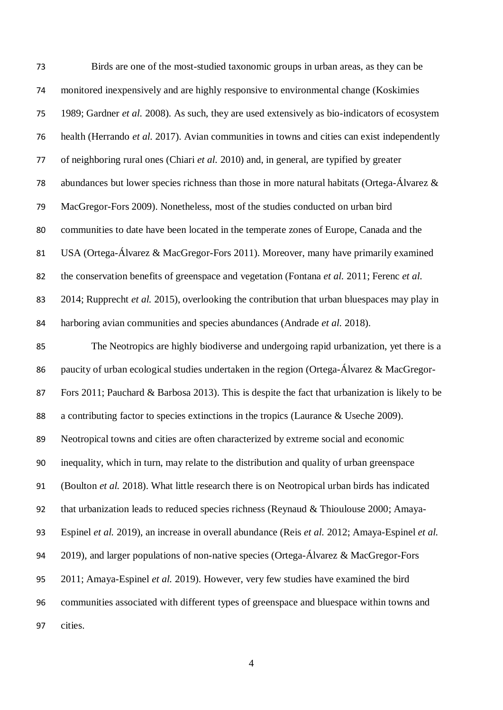| 73 | Birds are one of the most-studied taxonomic groups in urban areas, as they can be               |
|----|-------------------------------------------------------------------------------------------------|
| 74 | monitored inexpensively and are highly responsive to environmental change (Koskimies            |
| 75 | 1989; Gardner et al. 2008). As such, they are used extensively as bio-indicators of ecosystem   |
| 76 | health (Herrando et al. 2017). Avian communities in towns and cities can exist independently    |
| 77 | of neighboring rural ones (Chiari et al. 2010) and, in general, are typified by greater         |
| 78 | abundances but lower species richness than those in more natural habitats (Ortega-Álvarez $\&$  |
| 79 | MacGregor-Fors 2009). Nonetheless, most of the studies conducted on urban bird                  |
| 80 | communities to date have been located in the temperate zones of Europe, Canada and the          |
| 81 | USA (Ortega-Álvarez & MacGregor-Fors 2011). Moreover, many have primarily examined              |
| 82 | the conservation benefits of greenspace and vegetation (Fontana et al. 2011; Ferenc et al.      |
| 83 | 2014; Rupprecht et al. 2015), overlooking the contribution that urban bluespaces may play in    |
| 84 | harboring avian communities and species abundances (Andrade et al. 2018).                       |
| 85 | The Neotropics are highly biodiverse and undergoing rapid urbanization, yet there is a          |
| 86 | paucity of urban ecological studies undertaken in the region (Ortega-Álvarez & MacGregor-       |
| 87 | Fors 2011; Pauchard & Barbosa 2013). This is despite the fact that urbanization is likely to be |
| 88 | a contributing factor to species extinctions in the tropics (Laurance & Useche 2009).           |
| 89 | Neotropical towns and cities are often characterized by extreme social and economic             |
| 90 | inequality, which in turn, may relate to the distribution and quality of urban greenspace       |
| 91 | (Boulton et al. 2018). What little research there is on Neotropical urban birds has indicated   |
| 92 | that urbanization leads to reduced species richness (Reynaud & Thioulouse 2000; Amaya-          |
| 93 | Espinel et al. 2019), an increase in overall abundance (Reis et al. 2012; Amaya-Espinel et al.  |
| 94 | 2019), and larger populations of non-native species (Ortega-Álvarez & MacGregor-Fors            |
| 95 | 2011; Amaya-Espinel et al. 2019). However, very few studies have examined the bird              |
| 96 | communities associated with different types of greenspace and bluespace within towns and        |
| 97 | cities.                                                                                         |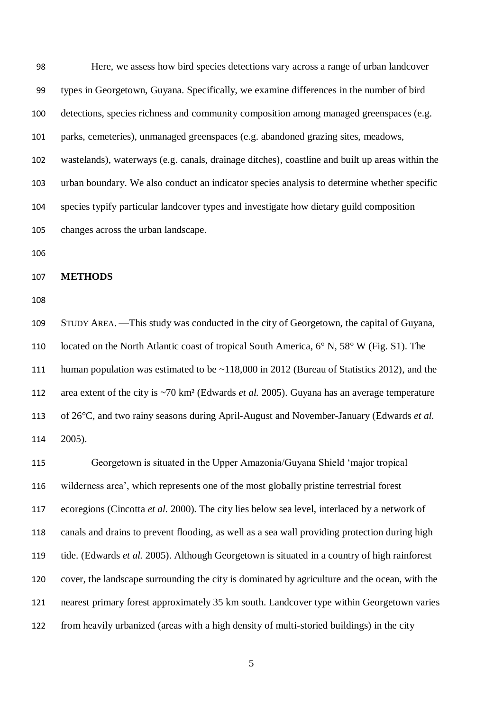Here, we assess how bird species detections vary across a range of urban landcover types in Georgetown, Guyana. Specifically, we examine differences in the number of bird detections, species richness and community composition among managed greenspaces (e.g. parks, cemeteries), unmanaged greenspaces (e.g. abandoned grazing sites, meadows, wastelands), waterways (e.g. canals, drainage ditches), coastline and built up areas within the urban boundary. We also conduct an indicator species analysis to determine whether specific species typify particular landcover types and investigate how dietary guild composition changes across the urban landscape. 

**METHODS**

 STUDY AREA. —This study was conducted in the city of Georgetown, the capital of Guyana, located on the North Atlantic coast of tropical South America, 6° N, 58° W (Fig. S1). The 111 human population was estimated to be ~118,000 in 2012 (Bureau of Statistics 2012), and the area extent of the city is ~70 km² (Edwards *et al.* 2005). Guyana has an average temperature of 26°C, and two rainy seasons during April-August and November-January (Edwards *et al.* 2005).

 Georgetown is situated in the Upper Amazonia/Guyana Shield 'major tropical wilderness area', which represents one of the most globally pristine terrestrial forest ecoregions (Cincotta *et al.* 2000). The city lies below sea level, interlaced by a network of canals and drains to prevent flooding, as well as a sea wall providing protection during high tide. (Edwards *et al.* 2005). Although Georgetown is situated in a country of high rainforest cover, the landscape surrounding the city is dominated by agriculture and the ocean, with the nearest primary forest approximately 35 km south. Landcover type within Georgetown varies from heavily urbanized (areas with a high density of multi-storied buildings) in the city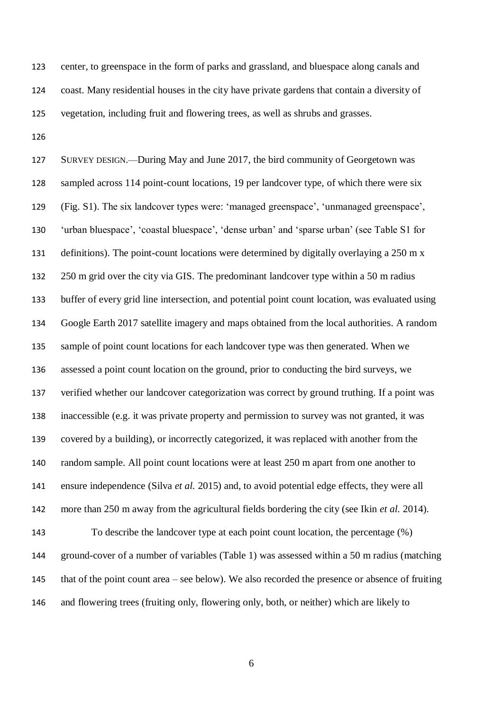center, to greenspace in the form of parks and grassland, and bluespace along canals and coast. Many residential houses in the city have private gardens that contain a diversity of vegetation, including fruit and flowering trees, as well as shrubs and grasses.

 SURVEY DESIGN.—During May and June 2017, the bird community of Georgetown was sampled across 114 point-count locations, 19 per landcover type, of which there were six (Fig. S1). The six landcover types were: 'managed greenspace', 'unmanaged greenspace', 'urban bluespace', 'coastal bluespace', 'dense urban' and 'sparse urban' (see Table S1 for 131 definitions). The point-count locations were determined by digitally overlaying a 250 m x 250 m grid over the city via GIS. The predominant landcover type within a 50 m radius buffer of every grid line intersection, and potential point count location, was evaluated using Google Earth 2017 satellite imagery and maps obtained from the local authorities. A random sample of point count locations for each landcover type was then generated. When we assessed a point count location on the ground, prior to conducting the bird surveys, we verified whether our landcover categorization was correct by ground truthing. If a point was inaccessible (e.g. it was private property and permission to survey was not granted, it was covered by a building), or incorrectly categorized, it was replaced with another from the random sample. All point count locations were at least 250 m apart from one another to ensure independence (Silva *et al.* 2015) and, to avoid potential edge effects, they were all more than 250 m away from the agricultural fields bordering the city (see Ikin *et al.* 2014). To describe the landcover type at each point count location, the percentage (%) ground-cover of a number of variables (Table 1) was assessed within a 50 m radius (matching that of the point count area – see below). We also recorded the presence or absence of fruiting and flowering trees (fruiting only, flowering only, both, or neither) which are likely to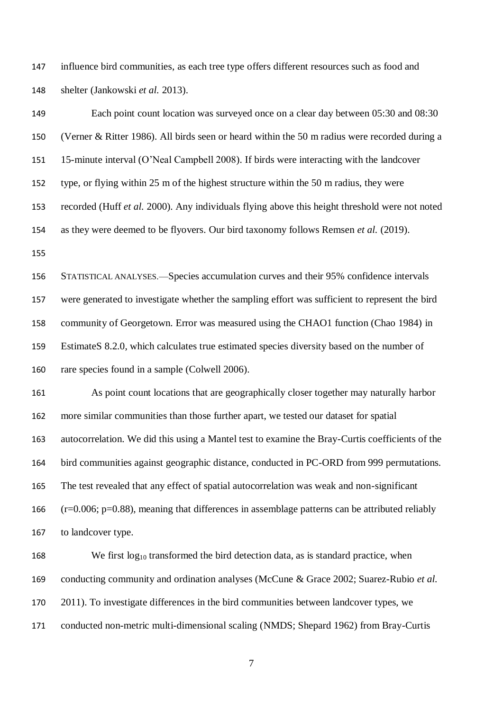147 influence bird communities, as each tree type offers different resources such as food and shelter (Jankowski *et al.* 2013).

 Each point count location was surveyed once on a clear day between 05:30 and 08:30 (Verner & Ritter 1986). All birds seen or heard within the 50 m radius were recorded during a 15-minute interval (O'Neal Campbell 2008). If birds were interacting with the landcover type, or flying within 25 m of the highest structure within the 50 m radius, they were recorded (Huff *et al.* 2000). Any individuals flying above this height threshold were not noted as they were deemed to be flyovers. Our bird taxonomy follows Remsen *et al.* (2019). STATISTICAL ANALYSES.—Species accumulation curves and their 95% confidence intervals were generated to investigate whether the sampling effort was sufficient to represent the bird community of Georgetown. Error was measured using the CHAO1 function (Chao 1984) in EstimateS 8.2.0, which calculates true estimated species diversity based on the number of rare species found in a sample (Colwell 2006). As point count locations that are geographically closer together may naturally harbor more similar communities than those further apart, we tested our dataset for spatial autocorrelation. We did this using a Mantel test to examine the Bray-Curtis coefficients of the bird communities against geographic distance, conducted in PC-ORD from 999 permutations. The test revealed that any effect of spatial autocorrelation was weak and non-significant (r=0.006; p=0.88), meaning that differences in assemblage patterns can be attributed reliably to landcover type. 168 We first  $log_{10}$  transformed the bird detection data, as is standard practice, when conducting community and ordination analyses (McCune & Grace 2002; Suarez-Rubio *et al.*

2011). To investigate differences in the bird communities between landcover types, we

conducted non-metric multi-dimensional scaling (NMDS; Shepard 1962) from Bray-Curtis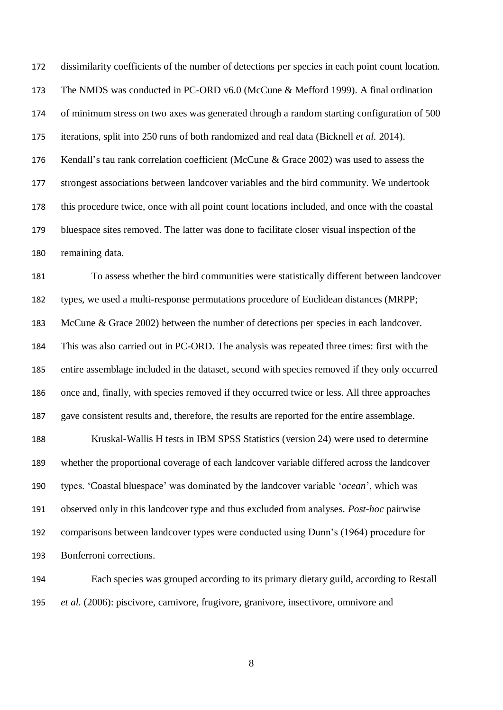dissimilarity coefficients of the number of detections per species in each point count location. The NMDS was conducted in PC-ORD v6.0 (McCune & Mefford 1999). A final ordination of minimum stress on two axes was generated through a random starting configuration of 500 iterations, split into 250 runs of both randomized and real data (Bicknell *et al.* 2014). Kendall's tau rank correlation coefficient (McCune & Grace 2002) was used to assess the strongest associations between landcover variables and the bird community. We undertook this procedure twice, once with all point count locations included, and once with the coastal bluespace sites removed. The latter was done to facilitate closer visual inspection of the remaining data.

 To assess whether the bird communities were statistically different between landcover types, we used a multi-response permutations procedure of Euclidean distances (MRPP; McCune & Grace 2002) between the number of detections per species in each landcover. This was also carried out in PC-ORD. The analysis was repeated three times: first with the entire assemblage included in the dataset, second with species removed if they only occurred once and, finally, with species removed if they occurred twice or less. All three approaches gave consistent results and, therefore, the results are reported for the entire assemblage.

 Kruskal-Wallis H tests in IBM SPSS Statistics (version 24) were used to determine whether the proportional coverage of each landcover variable differed across the landcover types. 'Coastal bluespace' was dominated by the landcover variable '*ocean*', which was observed only in this landcover type and thus excluded from analyses. *Post-hoc* pairwise comparisons between landcover types were conducted using Dunn's (1964) procedure for Bonferroni corrections.

 Each species was grouped according to its primary dietary guild, according to Restall *et al.* (2006): piscivore, carnivore, frugivore, granivore, insectivore, omnivore and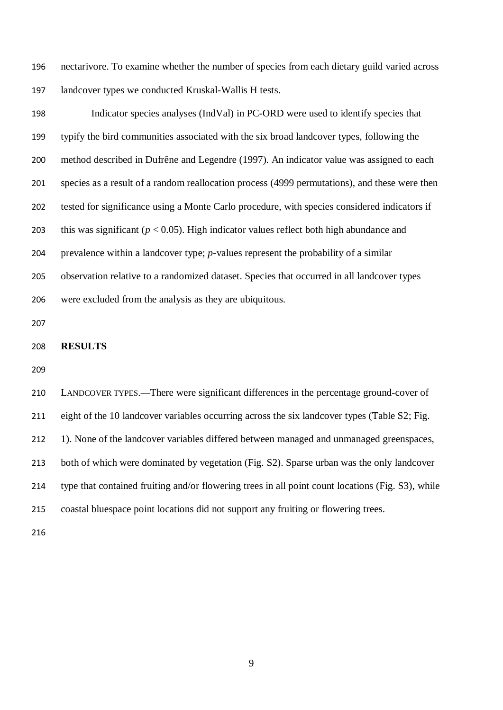nectarivore. To examine whether the number of species from each dietary guild varied across landcover types we conducted Kruskal-Wallis H tests.

 Indicator species analyses (IndVal) in PC-ORD were used to identify species that typify the bird communities associated with the six broad landcover types, following the method described in Dufrêne and Legendre (1997). An indicator value was assigned to each species as a result of a random reallocation process (4999 permutations), and these were then tested for significance using a Monte Carlo procedure, with species considered indicators if this was significant (*p* < 0.05). High indicator values reflect both high abundance and prevalence within a landcover type; *p*-values represent the probability of a similar observation relative to a randomized dataset. Species that occurred in all landcover types were excluded from the analysis as they are ubiquitous.

#### **RESULTS**

 LANDCOVER TYPES.—There were significant differences in the percentage ground-cover of eight of the 10 landcover variables occurring across the six landcover types (Table S2; Fig. 1). None of the landcover variables differed between managed and unmanaged greenspaces, both of which were dominated by vegetation (Fig. S2). Sparse urban was the only landcover type that contained fruiting and/or flowering trees in all point count locations (Fig. S3), while coastal bluespace point locations did not support any fruiting or flowering trees.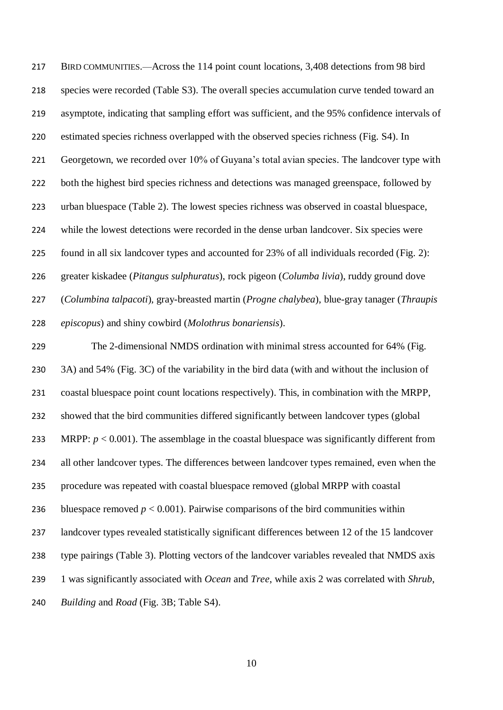BIRD COMMUNITIES.—Across the 114 point count locations, 3,408 detections from 98 bird species were recorded (Table S3). The overall species accumulation curve tended toward an asymptote, indicating that sampling effort was sufficient, and the 95% confidence intervals of estimated species richness overlapped with the observed species richness (Fig. S4). In 221 Georgetown, we recorded over 10% of Guyana's total avian species. The landcover type with 222 both the highest bird species richness and detections was managed greenspace, followed by urban bluespace (Table 2). The lowest species richness was observed in coastal bluespace, while the lowest detections were recorded in the dense urban landcover. Six species were found in all six landcover types and accounted for 23% of all individuals recorded (Fig. 2): greater kiskadee (*Pitangus sulphuratus*), rock pigeon (*Columba livia*), ruddy ground dove (*Columbina talpacoti*)*,* gray-breasted martin (*Progne chalybea*), blue-gray tanager (*Thraupis episcopus*) and shiny cowbird (*Molothrus bonariensis*).

 The 2-dimensional NMDS ordination with minimal stress accounted for 64% (Fig. 3A) and 54% (Fig. 3C) of the variability in the bird data (with and without the inclusion of coastal bluespace point count locations respectively). This, in combination with the MRPP, showed that the bird communities differed significantly between landcover types (global 233 MRPP:  $p < 0.001$ ). The assemblage in the coastal bluespace was significantly different from all other landcover types. The differences between landcover types remained, even when the procedure was repeated with coastal bluespace removed (global MRPP with coastal 236 bluespace removed  $p < 0.001$ ). Pairwise comparisons of the bird communities within landcover types revealed statistically significant differences between 12 of the 15 landcover type pairings (Table 3). Plotting vectors of the landcover variables revealed that NMDS axis 1 was significantly associated with *Ocean* and *Tree*, while axis 2 was correlated with *Shrub*, *Building* and *Road* (Fig. 3B; Table S4).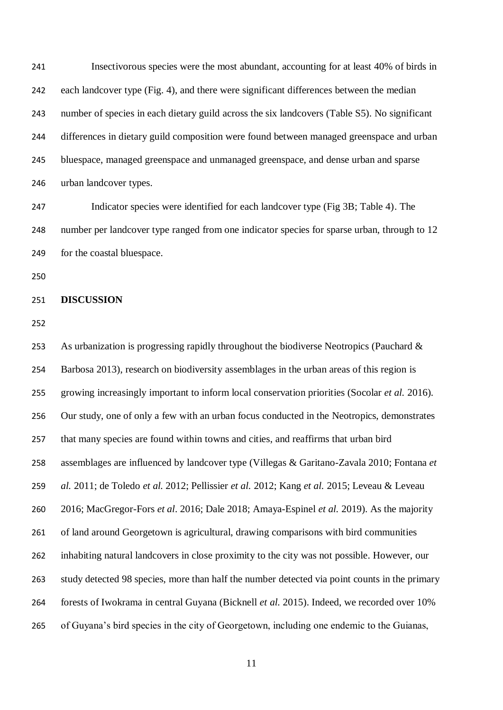Insectivorous species were the most abundant, accounting for at least 40% of birds in each landcover type (Fig. 4), and there were significant differences between the median number of species in each dietary guild across the six landcovers (Table S5). No significant differences in dietary guild composition were found between managed greenspace and urban bluespace, managed greenspace and unmanaged greenspace, and dense urban and sparse urban landcover types.

 Indicator species were identified for each landcover type (Fig 3B; Table 4). The number per landcover type ranged from one indicator species for sparse urban, through to 12 for the coastal bluespace.

#### **DISCUSSION**

 As urbanization is progressing rapidly throughout the biodiverse Neotropics (Pauchard & Barbosa 2013), research on biodiversity assemblages in the urban areas of this region is growing increasingly important to inform local conservation priorities (Socolar *et al.* 2016). Our study, one of only a few with an urban focus conducted in the Neotropics, demonstrates that many species are found within towns and cities, and reaffirms that urban bird assemblages are influenced by landcover type (Villegas & Garitano-Zavala 2010; Fontana *et al.* 2011; de Toledo *et al.* 2012; Pellissier *et al.* 2012; Kang *et al.* 2015; Leveau & Leveau 2016; MacGregor-Fors *et al*. 2016; Dale 2018; Amaya-Espinel *et al.* 2019). As the majority of land around Georgetown is agricultural, drawing comparisons with bird communities inhabiting natural landcovers in close proximity to the city was not possible. However, our study detected 98 species, more than half the number detected via point counts in the primary forests of Iwokrama in central Guyana (Bicknell *et al.* 2015). Indeed, we recorded over 10% of Guyana's bird species in the city of Georgetown, including one endemic to the Guianas,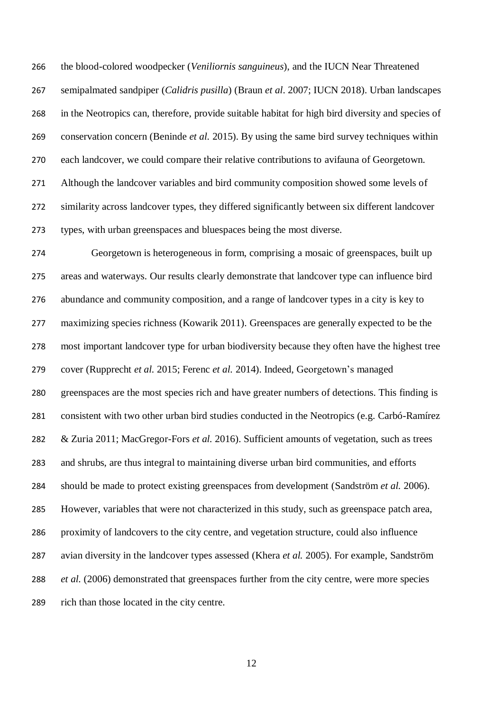the blood-colored woodpecker (*Veniliornis sanguineus*), and the IUCN Near Threatened semipalmated sandpiper (*Calidris pusilla*) (Braun *et al*. 2007; IUCN 2018). Urban landscapes in the Neotropics can, therefore, provide suitable habitat for high bird diversity and species of conservation concern (Beninde *et al.* 2015). By using the same bird survey techniques within each landcover, we could compare their relative contributions to avifauna of Georgetown. Although the landcover variables and bird community composition showed some levels of similarity across landcover types, they differed significantly between six different landcover types, with urban greenspaces and bluespaces being the most diverse.

 Georgetown is heterogeneous in form, comprising a mosaic of greenspaces, built up areas and waterways. Our results clearly demonstrate that landcover type can influence bird abundance and community composition, and a range of landcover types in a city is key to maximizing species richness (Kowarik 2011). Greenspaces are generally expected to be the most important landcover type for urban biodiversity because they often have the highest tree cover (Rupprecht *et al.* 2015; Ferenc *et al.* 2014). Indeed, Georgetown's managed greenspaces are the most species rich and have greater numbers of detections. This finding is consistent with two other urban bird studies conducted in the Neotropics (e.g. Carbó-Ramírez & Zuria 2011; MacGregor-Fors *et al.* 2016). Sufficient amounts of vegetation, such as trees and shrubs, are thus integral to maintaining diverse urban bird communities, and efforts should be made to protect existing greenspaces from development (Sandström *et al.* 2006). However, variables that were not characterized in this study, such as greenspace patch area, proximity of landcovers to the city centre, and vegetation structure, could also influence avian diversity in the landcover types assessed (Khera *et al.* 2005). For example, Sandström *et al.* (2006) demonstrated that greenspaces further from the city centre, were more species rich than those located in the city centre.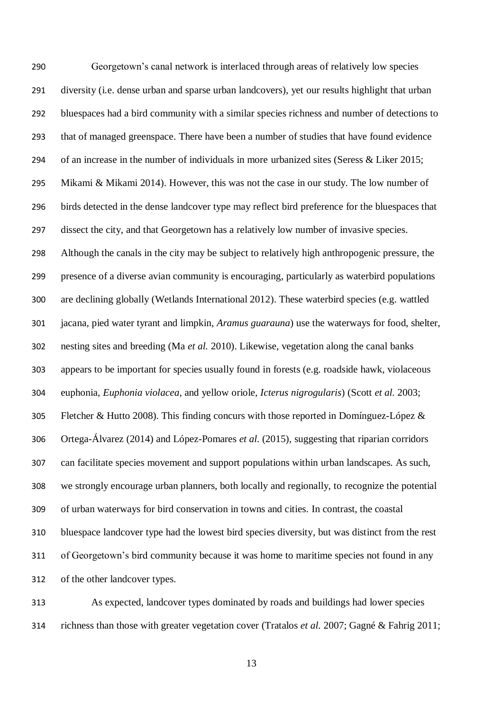Georgetown's canal network is interlaced through areas of relatively low species diversity (i.e. dense urban and sparse urban landcovers), yet our results highlight that urban bluespaces had a bird community with a similar species richness and number of detections to that of managed greenspace. There have been a number of studies that have found evidence of an increase in the number of individuals in more urbanized sites (Seress & Liker 2015; Mikami & Mikami 2014). However, this was not the case in our study. The low number of birds detected in the dense landcover type may reflect bird preference for the bluespaces that dissect the city, and that Georgetown has a relatively low number of invasive species. Although the canals in the city may be subject to relatively high anthropogenic pressure, the presence of a diverse avian community is encouraging, particularly as waterbird populations are declining globally (Wetlands International 2012). These waterbird species (e.g. wattled jacana, pied water tyrant and limpkin, *Aramus guarauna*) use the waterways for food, shelter, nesting sites and breeding (Ma *et al.* 2010). Likewise, vegetation along the canal banks appears to be important for species usually found in forests (e.g. roadside hawk, violaceous euphonia, *Euphonia violacea,* and yellow oriole*, Icterus nigrogularis*) (Scott *et al.* 2003; Fletcher & Hutto 2008). This finding concurs with those reported in Domínguez-López & Ortega-Álvarez (2014) and López-Pomares *et al.* (2015), suggesting that riparian corridors can facilitate species movement and support populations within urban landscapes. As such, we strongly encourage urban planners, both locally and regionally, to recognize the potential of urban waterways for bird conservation in towns and cities. In contrast, the coastal bluespace landcover type had the lowest bird species diversity, but was distinct from the rest of Georgetown's bird community because it was home to maritime species not found in any of the other landcover types.

 As expected, landcover types dominated by roads and buildings had lower species richness than those with greater vegetation cover (Tratalos *et al.* 2007; Gagné & Fahrig 2011;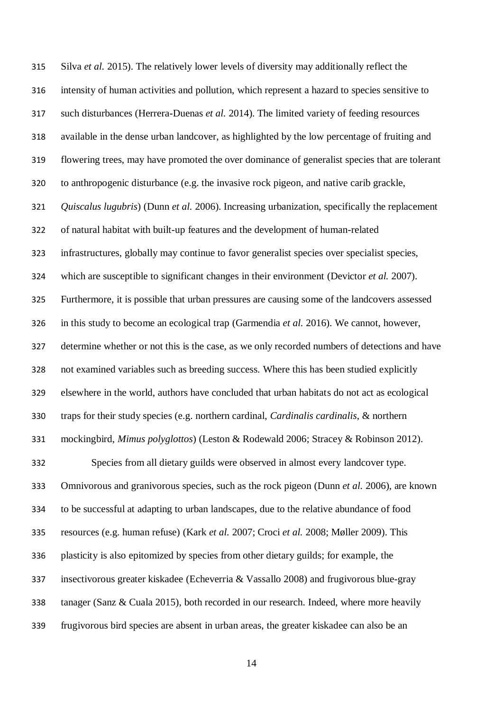Silva *et al.* 2015). The relatively lower levels of diversity may additionally reflect the intensity of human activities and pollution, which represent a hazard to species sensitive to such disturbances (Herrera-Duenas *et al.* 2014). The limited variety of feeding resources available in the dense urban landcover, as highlighted by the low percentage of fruiting and flowering trees, may have promoted the over dominance of generalist species that are tolerant to anthropogenic disturbance (e.g. the invasive rock pigeon, and native carib grackle, *Quiscalus lugubris*) (Dunn *et al.* 2006). Increasing urbanization, specifically the replacement of natural habitat with built-up features and the development of human-related infrastructures, globally may continue to favor generalist species over specialist species, which are susceptible to significant changes in their environment (Devictor *et al.* 2007). Furthermore, it is possible that urban pressures are causing some of the landcovers assessed in this study to become an ecological trap (Garmendia *et al.* 2016). We cannot, however, determine whether or not this is the case, as we only recorded numbers of detections and have not examined variables such as breeding success. Where this has been studied explicitly elsewhere in the world, authors have concluded that urban habitats do not act as ecological traps for their study species (e.g. northern cardinal, *Cardinalis cardinalis*, & northern mockingbird, *Mimus polyglottos*) (Leston & Rodewald 2006; Stracey & Robinson 2012). Species from all dietary guilds were observed in almost every landcover type. Omnivorous and granivorous species, such as the rock pigeon (Dunn *et al.* 2006), are known to be successful at adapting to urban landscapes, due to the relative abundance of food resources (e.g. human refuse) (Kark *et al.* 2007; Croci *et al.* 2008; Møller 2009). This plasticity is also epitomized by species from other dietary guilds; for example, the insectivorous greater kiskadee (Echeverria & Vassallo 2008) and frugivorous blue-gray tanager (Sanz & Cuala 2015), both recorded in our research. Indeed, where more heavily frugivorous bird species are absent in urban areas, the greater kiskadee can also be an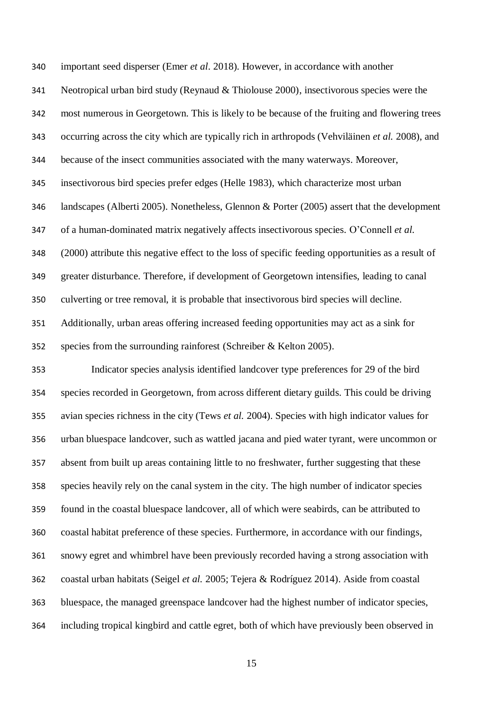important seed disperser (Emer *et al*. 2018). However, in accordance with another Neotropical urban bird study (Reynaud & Thiolouse 2000), insectivorous species were the most numerous in Georgetown. This is likely to be because of the fruiting and flowering trees occurring across the city which are typically rich in arthropods (Vehviläinen *et al.* 2008), and because of the insect communities associated with the many waterways. Moreover, insectivorous bird species prefer edges (Helle 1983), which characterize most urban landscapes (Alberti 2005). Nonetheless, Glennon & Porter (2005) assert that the development of a human-dominated matrix negatively affects insectivorous species. O'Connell *et al.* (2000) attribute this negative effect to the loss of specific feeding opportunities as a result of greater disturbance. Therefore, if development of Georgetown intensifies, leading to canal culverting or tree removal, it is probable that insectivorous bird species will decline. Additionally, urban areas offering increased feeding opportunities may act as a sink for species from the surrounding rainforest (Schreiber & Kelton 2005).

 Indicator species analysis identified landcover type preferences for 29 of the bird species recorded in Georgetown, from across different dietary guilds. This could be driving avian species richness in the city (Tews *et al.* 2004). Species with high indicator values for urban bluespace landcover, such as wattled jacana and pied water tyrant*,* were uncommon or absent from built up areas containing little to no freshwater, further suggesting that these species heavily rely on the canal system in the city. The high number of indicator species found in the coastal bluespace landcover, all of which were seabirds, can be attributed to coastal habitat preference of these species. Furthermore, in accordance with our findings, snowy egret and whimbrel have been previously recorded having a strong association with coastal urban habitats (Seigel *et al.* 2005; Tejera & Rodríguez 2014). Aside from coastal bluespace, the managed greenspace landcover had the highest number of indicator species, including tropical kingbird and cattle egret, both of which have previously been observed in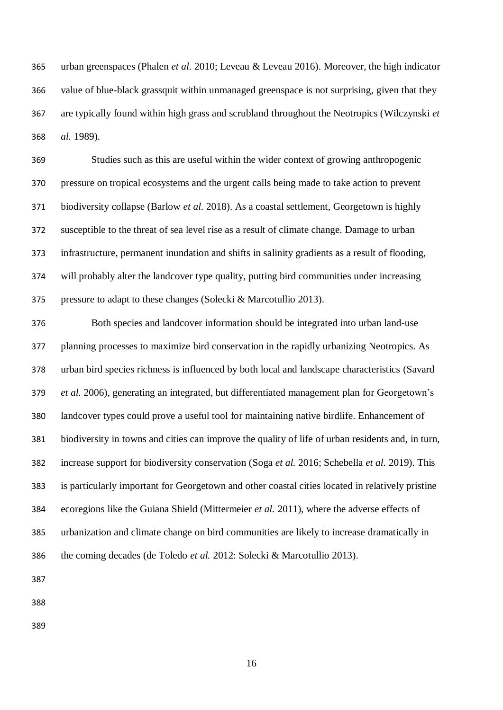urban greenspaces (Phalen *et al.* 2010; Leveau & Leveau 2016). Moreover, the high indicator value of blue-black grassquit within unmanaged greenspace is not surprising, given that they are typically found within high grass and scrubland throughout the Neotropics (Wilczynski *et al.* 1989).

 Studies such as this are useful within the wider context of growing anthropogenic pressure on tropical ecosystems and the urgent calls being made to take action to prevent biodiversity collapse (Barlow *et al.* 2018). As a coastal settlement, Georgetown is highly susceptible to the threat of sea level rise as a result of climate change. Damage to urban infrastructure, permanent inundation and shifts in salinity gradients as a result of flooding, will probably alter the landcover type quality, putting bird communities under increasing pressure to adapt to these changes (Solecki & Marcotullio 2013).

 Both species and landcover information should be integrated into urban land-use planning processes to maximize bird conservation in the rapidly urbanizing Neotropics. As urban bird species richness is influenced by both local and landscape characteristics (Savard *et al.* 2006), generating an integrated, but differentiated management plan for Georgetown's landcover types could prove a useful tool for maintaining native birdlife. Enhancement of biodiversity in towns and cities can improve the quality of life of urban residents and, in turn, increase support for biodiversity conservation (Soga *et al.* 2016; Schebella *et al.* 2019). This is particularly important for Georgetown and other coastal cities located in relatively pristine ecoregions like the Guiana Shield (Mittermeier *et al.* 2011), where the adverse effects of urbanization and climate change on bird communities are likely to increase dramatically in the coming decades (de Toledo *et al.* 2012: Solecki & Marcotullio 2013).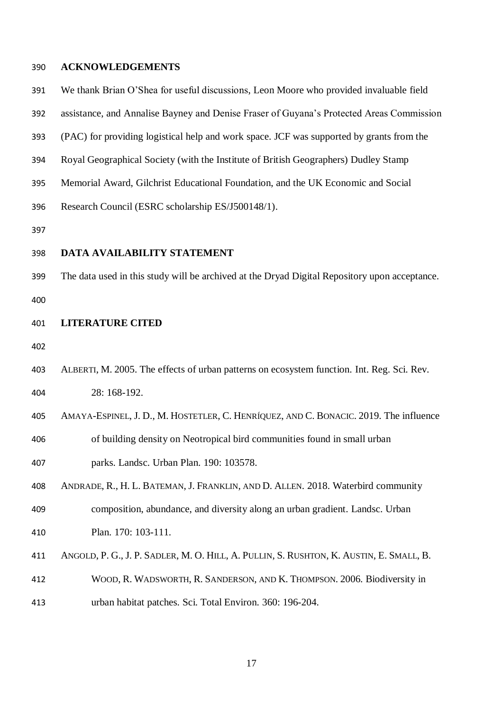#### **ACKNOWLEDGEMENTS**

- We thank Brian O'Shea for useful discussions, Leon Moore who provided invaluable field
- assistance, and Annalise Bayney and Denise Fraser of Guyana's Protected Areas Commission
- (PAC) for providing logistical help and work space. JCF was supported by grants from the
- Royal Geographical Society (with the Institute of British Geographers) Dudley Stamp
- Memorial Award, Gilchrist Educational Foundation, and the UK Economic and Social

Research Council (ESRC scholarship ES/J500148/1).

#### **DATA AVAILABILITY STATEMENT**

The data used in this study will be archived at the Dryad Digital Repository upon acceptance.

#### **LITERATURE CITED**

- 
- ALBERTI, M. 2005. The effects of urban patterns on ecosystem function. Int. Reg. Sci. Rev. 28: 168-192.
- AMAYA-ESPINEL, J. D., M. HOSTETLER, C. HENRÍQUEZ, AND C. BONACIC. 2019. The influence
- of building density on Neotropical bird communities found in small urban parks. Landsc. Urban Plan. 190: 103578.
- ANDRADE, R., H. L. BATEMAN, J. FRANKLIN, AND D. ALLEN. 2018. Waterbird community
- composition, abundance, and diversity along an urban gradient. Landsc. Urban
- Plan. 170: 103-111.
- ANGOLD, P. G., J. P. SADLER, M. O. HILL, A. PULLIN, S. RUSHTON, K. AUSTIN, E. SMALL, B.
- WOOD, R. WADSWORTH, R. SANDERSON, AND K. THOMPSON. 2006. Biodiversity in
- urban habitat patches. Sci. Total Environ. 360: 196-204.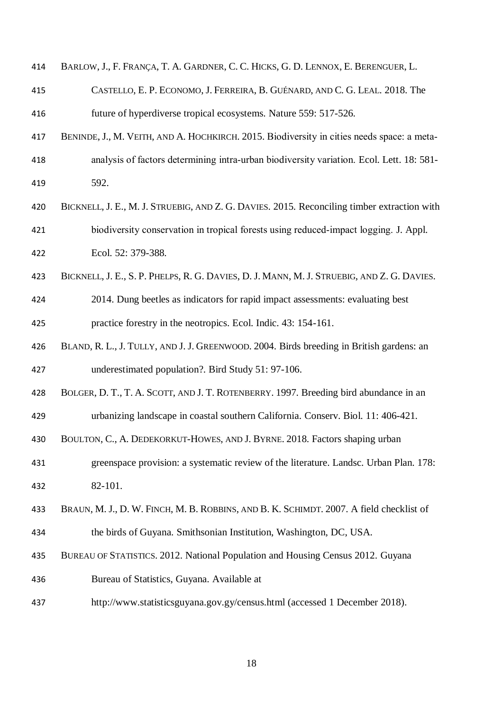| 414 | 1 BARLOW, J., F. FRANÇA, T. A. GARDNER, C. C. HICKS, G. D. LENNOX, E. BERENGUER, L. |  |  |  |  |  |  |  |  |
|-----|-------------------------------------------------------------------------------------|--|--|--|--|--|--|--|--|
|-----|-------------------------------------------------------------------------------------|--|--|--|--|--|--|--|--|

- CASTELLO, E. P. ECONOMO, J. FERREIRA, B. GUÉNARD, AND C. G. LEAL. 2018. The future of hyperdiverse tropical ecosystems. Nature 559: 517-526.
- BENINDE, J., M. VEITH, AND A. HOCHKIRCH. 2015. Biodiversity in cities needs space: a meta‐ analysis of factors determining intra‐urban biodiversity variation. Ecol. Lett. 18: 581- 592.
- BICKNELL, J. E., M. J. STRUEBIG, AND Z. G. DAVIES. 2015. Reconciling timber extraction with biodiversity conservation in tropical forests using reduced‐impact logging. J. Appl. Ecol. 52: 379-388.
- 423 BICKNELL, J. E., S. P. PHELPS, R. G. DAVIES, D. J. MANN, M. J. STRUEBIG, AND Z. G. DAVIES.
- 2014. Dung beetles as indicators for rapid impact assessments: evaluating best practice forestry in the neotropics. Ecol. Indic. 43: 154-161.
- BLAND, R. L., J. TULLY, AND J. J. GREENWOOD. 2004. Birds breeding in British gardens: an underestimated population?. Bird Study 51: 97-106.
- BOLGER, D. T., T. A. SCOTT, AND J. T. ROTENBERRY. 1997. Breeding bird abundance in an
- urbanizing landscape in coastal southern California. Conserv. Biol. 11: 406-421.
- BOULTON, C., A. DEDEKORKUT-HOWES, AND J. BYRNE. 2018. Factors shaping urban
- greenspace provision: a systematic review of the literature. Landsc. Urban Plan. 178: 82-101.
- BRAUN, M. J., D. W. FINCH, M. B. ROBBINS, AND B. K. SCHIMDT. 2007. A field checklist of
- the birds of Guyana. Smithsonian Institution, Washington, DC, USA.
- BUREAU OF STATISTICS. 2012. National Population and Housing Census 2012. Guyana
- Bureau of Statistics, Guyana. Available at
- http://www.statisticsguyana.gov.gy/census.html (accessed 1 December 2018).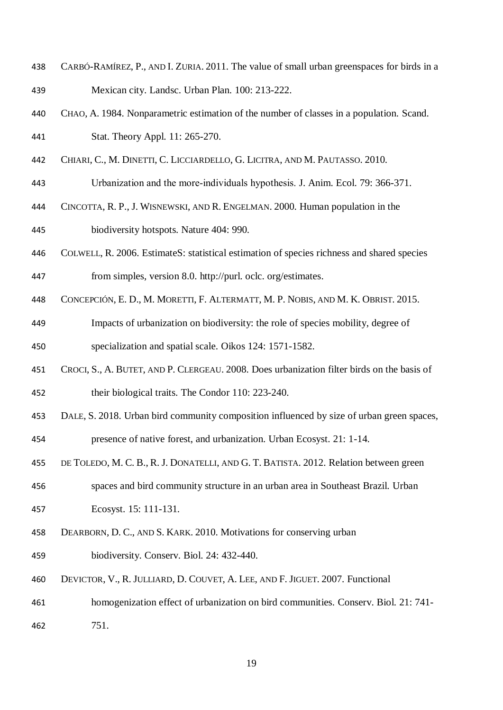- CARBÓ-RAMÍREZ, P., AND I. ZURIA. 2011. The value of small urban greenspaces for birds in a Mexican city. Landsc. Urban Plan. 100: 213-222.
- CHAO, A. 1984. Nonparametric estimation of the number of classes in a population. Scand.
- Stat. Theory Appl. 11: 265-270.
- CHIARI, C., M. DINETTI, C. LICCIARDELLO, G. LICITRA, AND M. PAUTASSO. 2010.
- Urbanization and the more‐individuals hypothesis. J. Anim. Ecol. 79: 366-371.
- CINCOTTA, R. P., J. WISNEWSKI, AND R. ENGELMAN. 2000. Human population in the
- biodiversity hotspots. Nature 404: 990.
- COLWELL, R. 2006. EstimateS: statistical estimation of species richness and shared species from simples, version 8.0. http://purl. oclc. org/estimates.
- CONCEPCIÓN, E. D., M. MORETTI, F. ALTERMATT, M. P. NOBIS, AND M. K. OBRIST. 2015.
- Impacts of urbanization on biodiversity: the role of species mobility, degree of specialization and spatial scale. Oikos 124: 1571-1582.
- CROCI, S., A. BUTET, AND P. CLERGEAU. 2008. Does urbanization filter birds on the basis of their biological traits. The Condor 110: 223-240.
- DALE, S. 2018. Urban bird community composition influenced by size of urban green spaces, presence of native forest, and urbanization. Urban Ecosyst. 21: 1-14.
- DE TOLEDO, M. C. B., R. J. DONATELLI, AND G. T. BATISTA. 2012. Relation between green
- spaces and bird community structure in an urban area in Southeast Brazil. Urban Ecosyst. 15: 111-131.
- DEARBORN, D. C., AND S. KARK. 2010. Motivations for conserving urban
- biodiversity. Conserv. Biol. 24: 432-440.
- DEVICTOR, V., R. JULLIARD, D. COUVET, A. LEE, AND F. JIGUET. 2007. Functional
- homogenization effect of urbanization on bird communities. Conserv. Biol. 21: 741-
- 751.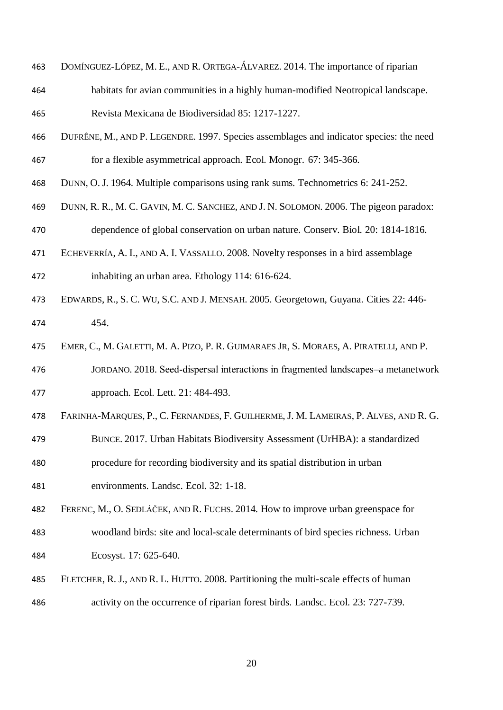- DOMÍNGUEZ-LÓPEZ, M. E., AND R. ORTEGA-ÁLVAREZ. 2014. The importance of riparian
- habitats for avian communities in a highly human-modified Neotropical landscape.
- Revista Mexicana de Biodiversidad 85: 1217-1227.
- DUFRÊNE, M., AND P. LEGENDRE. 1997. Species assemblages and indicator species: the need for a flexible asymmetrical approach. Ecol. Monogr. 67: 345-366.
- DUNN, O. J. 1964. Multiple comparisons using rank sums. Technometrics 6: 241-252.
- DUNN, R. R., M. C. GAVIN, M. C. SANCHEZ, AND J. N. SOLOMON. 2006. The pigeon paradox:
- dependence of global conservation on urban nature. Conserv. Biol. 20: 1814-1816.
- ECHEVERRÍA, A. I., AND A. I. VASSALLO. 2008. Novelty responses in a bird assemblage inhabiting an urban area. Ethology 114: 616-624.
- EDWARDS, R., S. C. WU, S.C. AND J. MENSAH. 2005. Georgetown, Guyana. Cities 22: 446- 454.
- EMER, C., M. GALETTI, M. A. PIZO, P. R. GUIMARAES JR, S. MORAES, A. PIRATELLI, AND P.
- JORDANO. 2018. Seed‐dispersal interactions in fragmented landscapes–a metanetwork approach. Ecol. Lett. 21: 484-493.
- FARINHA-MARQUES, P., C. FERNANDES, F. GUILHERME, J. M. LAMEIRAS, P. ALVES, AND R. G.
- BUNCE. 2017. Urban Habitats Biodiversity Assessment (UrHBA): a standardized
- procedure for recording biodiversity and its spatial distribution in urban
- environments. Landsc. Ecol. 32: 1-18.
- FERENC, M., O. SEDLÁČEK, AND R. FUCHS. 2014. How to improve urban greenspace for woodland birds: site and local-scale determinants of bird species richness. Urban
- Ecosyst. 17: 625-640.
- FLETCHER, R. J., AND R. L. HUTTO. 2008. Partitioning the multi-scale effects of human activity on the occurrence of riparian forest birds. Landsc. Ecol. 23: 727-739.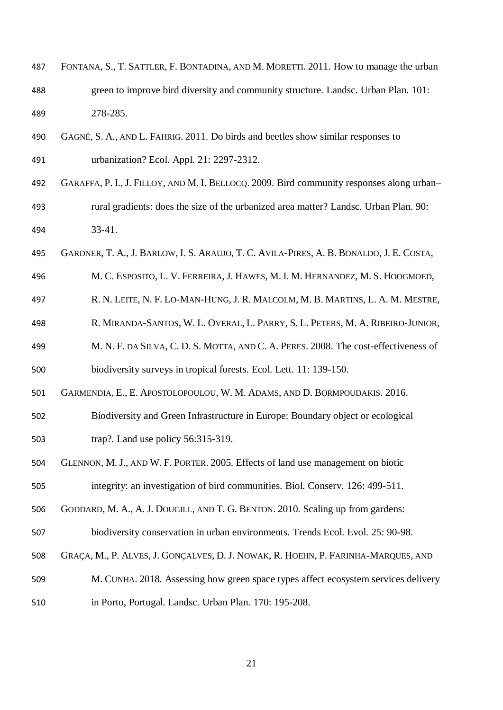- FONTANA, S., T. SATTLER, F. BONTADINA, AND M. MORETTI. 2011. How to manage the urban green to improve bird diversity and community structure. Landsc. Urban Plan. 101: 278-285.
- GAGNÉ, S. A., AND L. FAHRIG. 2011. Do birds and beetles show similar responses to urbanization? Ecol. Appl. 21: 2297-2312.
- GARAFFA, P. I., J. FILLOY, AND M. I. BELLOCQ. 2009. Bird community responses along urban– rural gradients: does the size of the urbanized area matter? Landsc. Urban Plan. 90: 33-41.
- GARDNER, T. A., J. BARLOW, I. S. ARAUJO, T. C. AVILA-PIRES, A. B. BONALDO, J. E. COSTA,
- M. C. ESPOSITO, L. V. FERREIRA, J. HAWES, M. I. M. HERNANDEZ, M. S. HOOGMOED,
- R. N. LEITE, N. F. LO-MAN-HUNG, J. R. MALCOLM, M. B. MARTINS, L. A. M. MESTRE,
- R. MIRANDA-SANTOS, W. L. OVERAL, L. PARRY, S. L. PETERS, M. A. RIBEIRO-JUNIOR,
- M. N. F. DA SILVA, C. D. S. MOTTA, AND C. A. PERES. 2008. The cost-effectiveness of
- biodiversity surveys in tropical forests. Ecol. Lett. 11: 139-150.
- GARMENDIA, E., E. APOSTOLOPOULOU, W. M. ADAMS, AND D. BORMPOUDAKIS. 2016.
- Biodiversity and Green Infrastructure in Europe: Boundary object or ecological trap?. Land use policy 56:315-319.
- 
- GLENNON, M. J., AND W. F. PORTER. 2005. Effects of land use management on biotic
- integrity: an investigation of bird communities. Biol. Conserv. 126: 499-511.
- GODDARD, M. A., A. J. DOUGILL, AND T. G. BENTON. 2010. Scaling up from gardens:
- biodiversity conservation in urban environments. Trends Ecol. Evol. 25: 90-98.
- GRAÇA, M., P. ALVES, J. GONÇALVES, D. J. NOWAK, R. HOEHN, P. FARINHA-MARQUES, AND
- M. CUNHA. 2018. Assessing how green space types affect ecosystem services delivery
- in Porto, Portugal. Landsc. Urban Plan. 170: 195-208.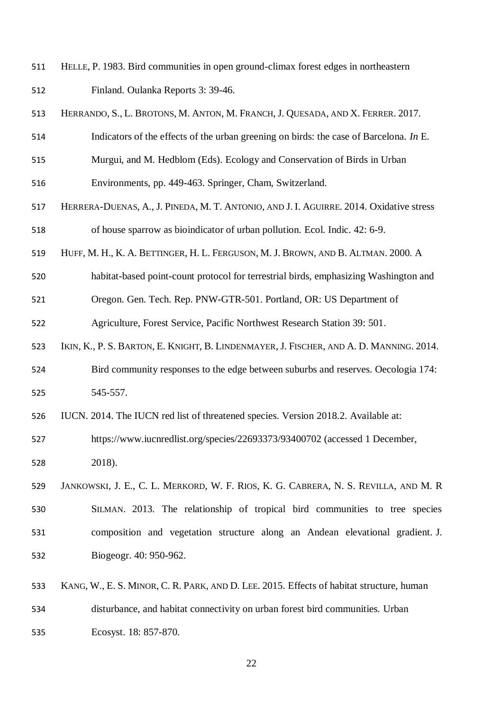- HELLE, P. 1983. Bird communities in open ground-climax forest edges in northeastern Finland. Oulanka Reports 3: 39-46.
- HERRANDO, S., L. BROTONS, M. ANTON, M. FRANCH, J. QUESADA, AND X. FERRER. 2017.
- Indicators of the effects of the urban greening on birds: the case of Barcelona. *In* E.
- Murgui, and M. Hedblom (Eds). Ecology and Conservation of Birds in Urban
- Environments, pp. 449-463. Springer, Cham, Switzerland.
- HERRERA-DUENAS, A., J. PINEDA, M. T. ANTONIO, AND J. I. AGUIRRE. 2014. Oxidative stress of house sparrow as bioindicator of urban pollution. Ecol. Indic. 42: 6-9.
- HUFF, M. H., K. A. BETTINGER, H. L. FERGUSON, M. J. BROWN, AND B. ALTMAN. 2000. A
- habitat-based point-count protocol for terrestrial birds, emphasizing Washington and
- Oregon. Gen. Tech. Rep. PNW-GTR-501. Portland, OR: US Department of
- Agriculture, Forest Service, Pacific Northwest Research Station 39: 501.
- IKIN, K., P. S. BARTON, E. KNIGHT, B. LINDENMAYER, J. FISCHER, AND A. D. MANNING. 2014.
- Bird community responses to the edge between suburbs and reserves. Oecologia 174: 545-557.
- IUCN. 2014. The IUCN red list of threatened species. Version 2018.2. Available at:
- https://www.iucnredlist.org/species/22693373/93400702 (accessed 1 December, 2018).
- JANKOWSKI, J. E., C. L. MERKORD, W. F. RIOS, K. G. CABRERA, N. S. REVILLA, AND M. R SILMAN. 2013. The relationship of tropical bird communities to tree species composition and vegetation structure along an Andean elevational gradient. J. Biogeogr. 40: 950-962.
- KANG, W., E. S. MINOR, C. R. PARK, AND D. LEE. 2015. Effects of habitat structure, human
- disturbance, and habitat connectivity on urban forest bird communities. Urban
- Ecosyst. 18: 857-870.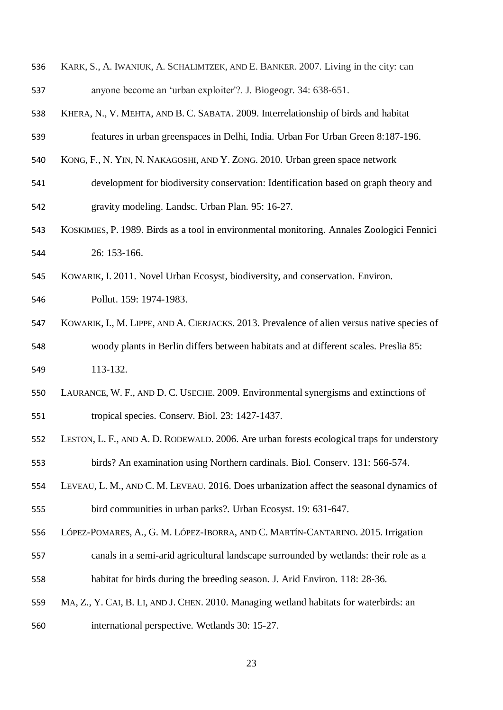- KARK, S., A. IWANIUK, A. SCHALIMTZEK, AND E. BANKER. 2007. Living in the city: can anyone become an 'urban exploiter'?. J. Biogeogr. 34: 638-651.
- KHERA, N., V. MEHTA, AND B. C. SABATA. 2009. Interrelationship of birds and habitat features in urban greenspaces in Delhi, India. Urban For Urban Green 8:187-196.
- KONG, F., N. YIN, N. NAKAGOSHI, AND Y. ZONG. 2010. Urban green space network
- development for biodiversity conservation: Identification based on graph theory and gravity modeling. Landsc. Urban Plan. 95: 16-27.
- KOSKIMIES, P. 1989. Birds as a tool in environmental monitoring. Annales Zoologici Fennici 26: 153-166.
- KOWARIK, I. 2011. Novel Urban Ecosyst, biodiversity, and conservation. Environ.
- Pollut. 159: 1974-1983.
- KOWARIK, I., M. LIPPE, AND A. CIERJACKS. 2013. Prevalence of alien versus native species of woody plants in Berlin differs between habitats and at different scales. Preslia 85:
- 113-132.
- LAURANCE, W. F., AND D. C. USECHE. 2009. Environmental synergisms and extinctions of tropical species. Conserv. Biol. 23: 1427-1437.
- LESTON, L. F., AND A. D. RODEWALD. 2006. Are urban forests ecological traps for understory birds? An examination using Northern cardinals. Biol. Conserv. 131: 566-574.
- LEVEAU, L. M., AND C. M. LEVEAU. 2016. Does urbanization affect the seasonal dynamics of bird communities in urban parks?. Urban Ecosyst. 19: 631-647.
- LÓPEZ-POMARES, A., G. M. LÓPEZ-IBORRA, AND C. MARTÍN-CANTARINO. 2015. Irrigation
- canals in a semi-arid agricultural landscape surrounded by wetlands: their role as a habitat for birds during the breeding season. J. Arid Environ. 118: 28-36.
- MA, Z., Y. CAI, B. LI, AND J. CHEN. 2010. Managing wetland habitats for waterbirds: an
- international perspective. Wetlands 30: 15-27.
	-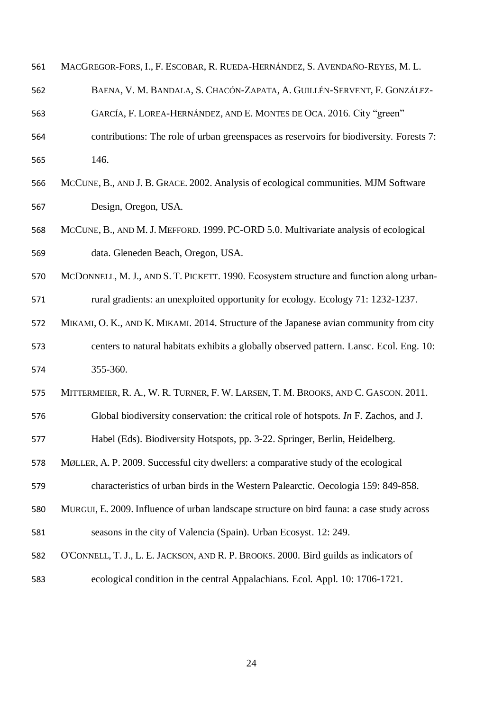| 561 | MACGREGOR-FORS, I., F. ESCOBAR, R. RUEDA-HERNÁNDEZ, S. AVENDAÑO-REYES, M. L.               |
|-----|--------------------------------------------------------------------------------------------|
| 562 | BAENA, V. M. BANDALA, S. CHACÓN-ZAPATA, A. GUILLÉN-SERVENT, F. GONZÁLEZ-                   |
| 563 | GARCÍA, F. LOREA-HERNÁNDEZ, AND E. MONTES DE OCA. 2016. City "green"                       |
| 564 | contributions: The role of urban greenspaces as reservoirs for biodiversity. Forests 7:    |
| 565 | 146.                                                                                       |
| 566 | MCCUNE, B., AND J. B. GRACE. 2002. Analysis of ecological communities. MJM Software        |
| 567 | Design, Oregon, USA.                                                                       |
| 568 | MCCUNE, B., AND M. J. MEFFORD. 1999. PC-ORD 5.0. Multivariate analysis of ecological       |
| 569 | data. Gleneden Beach, Oregon, USA.                                                         |
| 570 | MCDONNELL, M. J., AND S. T. PICKETT. 1990. Ecosystem structure and function along urban-   |
| 571 | rural gradients: an unexploited opportunity for ecology. Ecology 71: 1232-1237.            |
| 572 | MIKAMI, O. K., AND K. MIKAMI. 2014. Structure of the Japanese avian community from city    |
| 573 | centers to natural habitats exhibits a globally observed pattern. Lansc. Ecol. Eng. 10:    |
| 574 | 355-360.                                                                                   |
| 575 | MITTERMEIER, R. A., W. R. TURNER, F. W. LARSEN, T. M. BROOKS, AND C. GASCON. 2011.         |
| 576 | Global biodiversity conservation: the critical role of hotspots. In F. Zachos, and J.      |
| 577 | Habel (Eds). Biodiversity Hotspots, pp. 3-22. Springer, Berlin, Heidelberg.                |
| 578 | MØLLER, A. P. 2009. Successful city dwellers: a comparative study of the ecological        |
| 579 | characteristics of urban birds in the Western Palearctic. Oecologia 159: 849-858.          |
| 580 | MURGUI, E. 2009. Influence of urban landscape structure on bird fauna: a case study across |
| 581 | seasons in the city of Valencia (Spain). Urban Ecosyst. 12: 249.                           |
| 582 | O'CONNELL, T. J., L. E. JACKSON, AND R. P. BROOKS. 2000. Bird guilds as indicators of      |
| 583 | ecological condition in the central Appalachians. Ecol. Appl. 10: 1706-1721.               |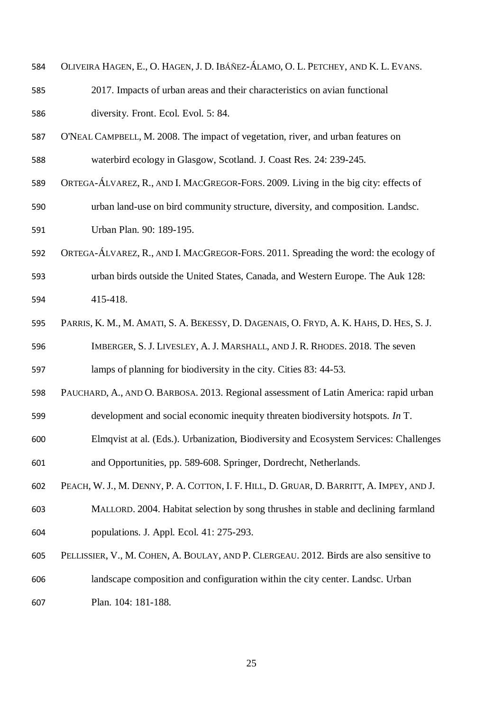| 584 | OLIVEIRA HAGEN, E., O. HAGEN, J. D. IBÁÑEZ-ÁLAMO, O. L. PETCHEY, AND K. L. EVANS.        |
|-----|------------------------------------------------------------------------------------------|
| 585 | 2017. Impacts of urban areas and their characteristics on avian functional               |
| 586 | diversity. Front. Ecol. Evol. 5: 84.                                                     |
| 587 | O'NEAL CAMPBELL, M. 2008. The impact of vegetation, river, and urban features on         |
| 588 | waterbird ecology in Glasgow, Scotland. J. Coast Res. 24: 239-245.                       |
| 589 | ORTEGA-ÁLVAREZ, R., AND I. MACGREGOR-FORS. 2009. Living in the big city: effects of      |
| 590 | urban land-use on bird community structure, diversity, and composition. Landsc.          |
| 591 | Urban Plan. 90: 189-195.                                                                 |
| 592 | ORTEGA-ÁLVAREZ, R., AND I. MACGREGOR-FORS. 2011. Spreading the word: the ecology of      |
| 593 | urban birds outside the United States, Canada, and Western Europe. The Auk 128:          |
| 594 | 415-418.                                                                                 |
| 595 | PARRIS, K. M., M. AMATI, S. A. BEKESSY, D. DAGENAIS, O. FRYD, A. K. HAHS, D. HES, S. J.  |
| 596 | IMBERGER, S. J. LIVESLEY, A. J. MARSHALL, AND J. R. RHODES. 2018. The seven              |
| 597 | lamps of planning for biodiversity in the city. Cities 83: 44-53.                        |
| 598 | PAUCHARD, A., AND O. BARBOSA. 2013. Regional assessment of Latin America: rapid urban    |
| 599 | development and social economic inequity threaten biodiversity hotspots. In $T$ .        |
| 600 | Elmqvist at al. (Eds.). Urbanization, Biodiversity and Ecosystem Services: Challenges    |
| 601 | and Opportunities, pp. 589-608. Springer, Dordrecht, Netherlands.                        |
| 602 | PEACH, W. J., M. DENNY, P. A. COTTON, I. F. HILL, D. GRUAR, D. BARRITT, A. IMPEY, AND J. |
| 603 | MALLORD. 2004. Habitat selection by song thrushes in stable and declining farmland       |
| 604 | populations. J. Appl. Ecol. 41: 275-293.                                                 |
| 605 | PELLISSIER, V., M. COHEN, A. BOULAY, AND P. CLERGEAU. 2012. Birds are also sensitive to  |
| 606 | landscape composition and configuration within the city center. Landsc. Urban            |
| 607 | Plan. 104: 181-188.                                                                      |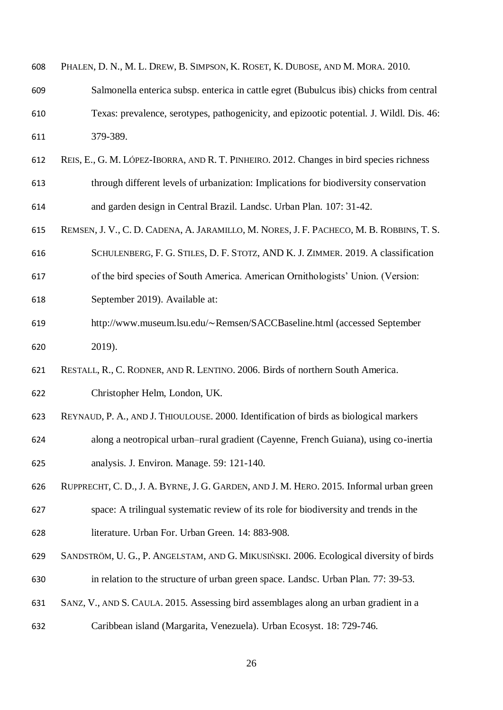| 608 | PHALEN, D. N., M. L. DREW, B. SIMPSON, K. ROSET, K. DUBOSE, AND M. MORA. 2010.           |
|-----|------------------------------------------------------------------------------------------|
| 609 | Salmonella enterica subsp. enterica in cattle egret (Bubulcus ibis) chicks from central  |
| 610 | Texas: prevalence, serotypes, pathogenicity, and epizootic potential. J. Wildl. Dis. 46: |
| 611 | 379-389.                                                                                 |
| 612 | REIS, E., G. M. LÓPEZ-IBORRA, AND R. T. PINHEIRO. 2012. Changes in bird species richness |
| 613 | through different levels of urbanization: Implications for biodiversity conservation     |
| 614 | and garden design in Central Brazil. Landsc. Urban Plan. 107: 31-42.                     |
| 615 | REMSEN, J. V., C. D. CADENA, A. JARAMILLO, M. NORES, J. F. PACHECO, M. B. ROBBINS, T. S. |
| 616 | SCHULENBERG, F. G. STILES, D. F. STOTZ, AND K. J. ZIMMER. 2019. A classification         |
| 617 | of the bird species of South America. American Ornithologists' Union. (Version:          |
| 618 | September 2019). Available at:                                                           |
| 619 | http://www.museum.lsu.edu/~Remsen/SACCBaseline.html (accessed September                  |
| 620 | 2019).                                                                                   |
| 621 | RESTALL, R., C. RODNER, AND R. LENTINO. 2006. Birds of northern South America.           |
| 622 | Christopher Helm, London, UK.                                                            |
| 623 | REYNAUD, P. A., AND J. THIOULOUSE. 2000. Identification of birds as biological markers   |
| 624 | along a neotropical urban–rural gradient (Cayenne, French Guiana), using co-inertia      |
| 625 | analysis. J. Environ. Manage. 59: 121-140.                                               |
| 626 | RUPPRECHT, C. D., J. A. BYRNE, J. G. GARDEN, AND J. M. HERO. 2015. Informal urban green  |
| 627 | space: A trilingual systematic review of its role for biodiversity and trends in the     |
| 628 | literature. Urban For. Urban Green. 14: 883-908.                                         |
| 629 | SANDSTRÖM, U. G., P. ANGELSTAM, AND G. MIKUSIŃSKI. 2006. Ecological diversity of birds   |
| 630 | in relation to the structure of urban green space. Landsc. Urban Plan. 77: 39-53.        |
| 631 | SANZ, V., AND S. CAULA. 2015. Assessing bird assemblages along an urban gradient in a    |
| 632 | Caribbean island (Margarita, Venezuela). Urban Ecosyst. 18: 729-746.                     |
|     |                                                                                          |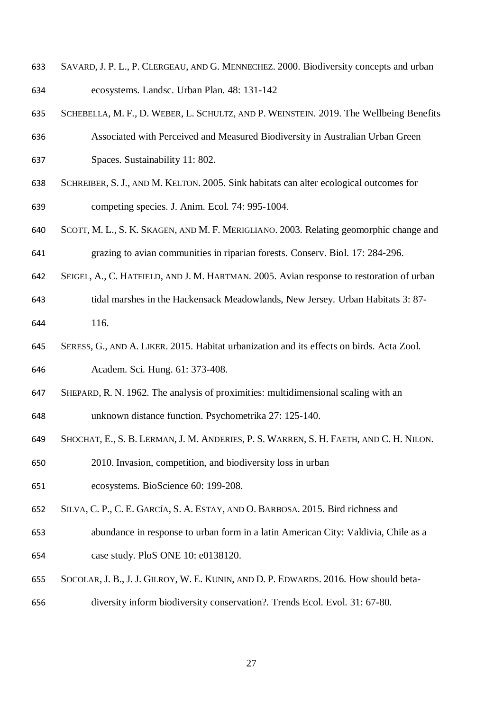- SAVARD, J. P. L., P. CLERGEAU, AND G. MENNECHEZ. 2000. Biodiversity concepts and urban ecosystems. Landsc. Urban Plan. 48: 131-142
- SCHEBELLA, M. F., D. WEBER, L. SCHULTZ, AND P. WEINSTEIN. 2019. The Wellbeing Benefits
- Associated with Perceived and Measured Biodiversity in Australian Urban Green Spaces. Sustainability 11: 802.
- SCHREIBER, S. J., AND M. KELTON. 2005. Sink habitats can alter ecological outcomes for competing species. J. Anim. Ecol. 74: 995-1004.
- SCOTT, M. L., S. K. SKAGEN, AND M. F. MERIGLIANO. 2003. Relating geomorphic change and grazing to avian communities in riparian forests. Conserv. Biol. 17: 284-296.
- SEIGEL, A., C. HATFIELD, AND J. M. HARTMAN. 2005. Avian response to restoration of urban
- tidal marshes in the Hackensack Meadowlands, New Jersey. Urban Habitats 3: 87- 116.
- SERESS, G., AND A. LIKER. 2015. Habitat urbanization and its effects on birds. Acta Zool.
- Academ. Sci. Hung. 61: 373-408.
- SHEPARD, R. N. 1962. The analysis of proximities: multidimensional scaling with an
- unknown distance function. Psychometrika 27: 125-140.
- SHOCHAT, E., S. B. LERMAN, J. M. ANDERIES, P. S. WARREN, S. H. FAETH, AND C. H. NILON.
- 2010. Invasion, competition, and biodiversity loss in urban
- ecosystems. BioScience 60: 199-208.
- SILVA, C. P., C. E. GARCÍA, S. A. ESTAY, AND O. BARBOSA. 2015. Bird richness and
- abundance in response to urban form in a latin American City: Valdivia, Chile as a case study. PloS ONE 10: e0138120.
- SOCOLAR, J. B., J. J. GILROY, W. E. KUNIN, AND D. P. EDWARDS. 2016. How should beta-
- diversity inform biodiversity conservation?. Trends Ecol. Evol. 31: 67-80.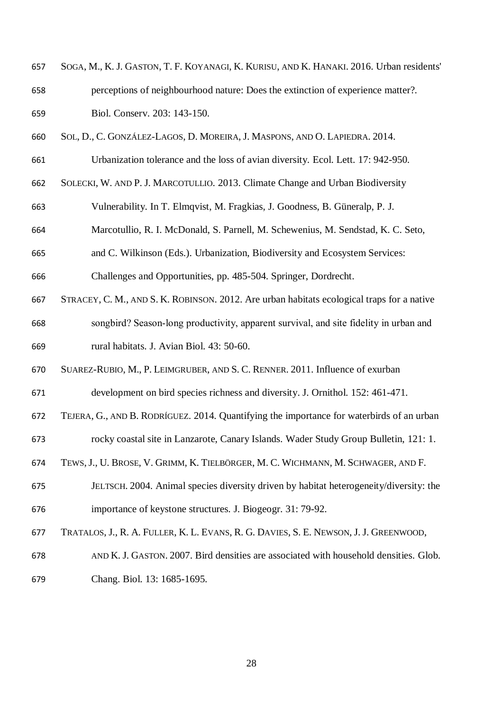- SOGA, M., K. J. GASTON, T. F. KOYANAGI, K. KURISU, AND K. HANAKI. 2016. Urban residents' perceptions of neighbourhood nature: Does the extinction of experience matter?. Biol. Conserv. 203: 143-150.
- SOL, D., C. GONZÁLEZ‐LAGOS, D. MOREIRA, J. MASPONS, AND O. LAPIEDRA. 2014.
- Urbanization tolerance and the loss of avian diversity. Ecol. Lett. 17: 942-950.
- SOLECKI, W. AND P. J. MARCOTULLIO. 2013. Climate Change and Urban Biodiversity
- Vulnerability. In T. Elmqvist, M. Fragkias, J. Goodness, B. Güneralp, P. J.
- Marcotullio, R. I. McDonald, S. Parnell, M. Schewenius, M. Sendstad, K. C. Seto,
- and C. Wilkinson (Eds.). Urbanization, Biodiversity and Ecosystem Services:

Challenges and Opportunities, pp. 485-504. Springer, Dordrecht.

- STRACEY, C. M., AND S. K. ROBINSON. 2012. Are urban habitats ecological traps for a native
- songbird? Season‐long productivity, apparent survival, and site fidelity in urban and rural habitats. J. Avian Biol. 43: 50-60.
- SUAREZ-RUBIO, M., P. LEIMGRUBER, AND S. C. RENNER. 2011. Influence of exurban
- development on bird species richness and diversity. J. Ornithol. 152: 461-471.
- TEJERA, G., AND B. RODRÍGUEZ. 2014. Quantifying the importance for waterbirds of an urban
- rocky coastal site in Lanzarote, Canary Islands. Wader Study Group Bulletin, 121: 1.
- TEWS,J., U. BROSE, V. GRIMM, K. TIELBÖRGER, M. C. WICHMANN, M. SCHWAGER, AND F.
- JELTSCH. 2004. Animal species diversity driven by habitat heterogeneity/diversity: the importance of keystone structures. J. Biogeogr. 31: 79-92.
- TRATALOS, J., R. A. FULLER, K. L. EVANS, R. G. DAVIES, S. E. NEWSON, J. J. GREENWOOD,
- AND K. J. GASTON. 2007. Bird densities are associated with household densities. Glob.
- Chang. Biol. 13: 1685-1695.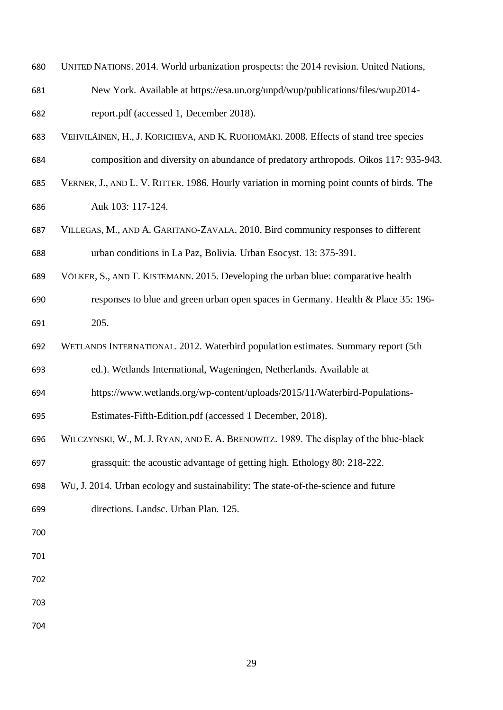- UNITED NATIONS. 2014. World urbanization prospects: the 2014 revision. United Nations,
- New York. Available at https://esa.un.org/unpd/wup/publications/files/wup2014- report.pdf (accessed 1, December 2018).
- VEHVILÄINEN, H., J. KORICHEVA, AND K. RUOHOMÄKI. 2008. Effects of stand tree species
- composition and diversity on abundance of predatory arthropods. Oikos 117: 935-943.
- VERNER, J., AND L. V. RITTER. 1986. Hourly variation in morning point counts of birds. The Auk 103: 117-124.
- VILLEGAS, M., AND A. GARITANO-ZAVALA. 2010. Bird community responses to different urban conditions in La Paz, Bolivia. Urban Esocyst. 13: 375-391.
- VÖLKER, S., AND T. KISTEMANN. 2015. Developing the urban blue: comparative health
- responses to blue and green urban open spaces in Germany. Health & Place 35: 196- 205.
- WETLANDS INTERNATIONAL. 2012. Waterbird population estimates. Summary report (5th

ed.). Wetlands International, Wageningen, Netherlands. Available at

- https://www.wetlands.org/wp-content/uploads/2015/11/Waterbird-Populations-
- Estimates-Fifth-Edition.pdf (accessed 1 December, 2018).
- WILCZYNSKI, W., M. J. RYAN, AND E. A. BRENOWITZ. 1989. The display of the blue‐black
- grassquit: the acoustic advantage of getting high. Ethology 80: 218-222.
- WU, J. 2014. Urban ecology and sustainability: The state-of-the-science and future
- directions. Landsc. Urban Plan. 125.
- 
- 
- 
- 
- 
-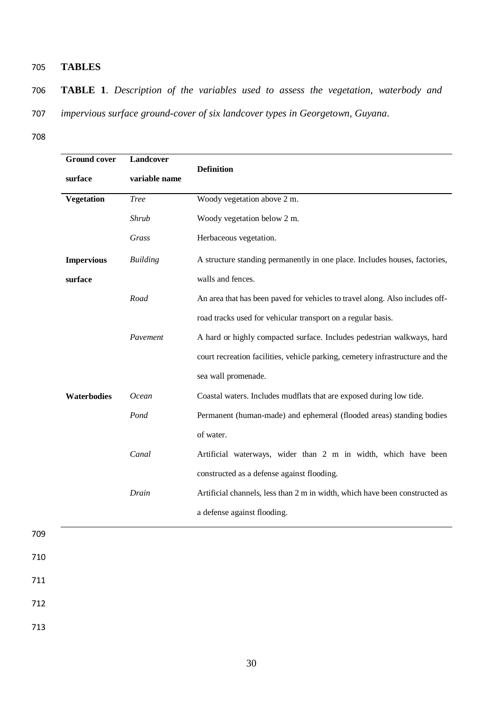#### 705 **TABLES**

- 706 **TABLE 1**. *Description of the variables used to assess the vegetation, waterbody and*
- 707 *impervious surface ground-cover of six landcover types in Georgetown, Guyana*.
- 708

| <b>Ground cover</b> | Landcover       |                                                                               |
|---------------------|-----------------|-------------------------------------------------------------------------------|
| surface             | variable name   | <b>Definition</b>                                                             |
| Vegetation          | <b>Tree</b>     | Woody vegetation above 2 m.                                                   |
|                     | Shrub           | Woody vegetation below 2 m.                                                   |
|                     | Grass           | Herbaceous vegetation.                                                        |
| <b>Impervious</b>   | <b>Building</b> | A structure standing permanently in one place. Includes houses, factories,    |
| surface             |                 | walls and fences.                                                             |
|                     | Road            | An area that has been paved for vehicles to travel along. Also includes off-  |
|                     |                 | road tracks used for vehicular transport on a regular basis.                  |
|                     | Pavement        | A hard or highly compacted surface. Includes pedestrian walkways, hard        |
|                     |                 | court recreation facilities, vehicle parking, cemetery infrastructure and the |
|                     |                 | sea wall promenade.                                                           |
| Waterbodies         | Ocean           | Coastal waters. Includes mudflats that are exposed during low tide.           |
|                     | Pond            | Permanent (human-made) and ephemeral (flooded areas) standing bodies          |
|                     |                 | of water.                                                                     |
|                     | Canal           | Artificial waterways, wider than 2 m in width, which have been                |
|                     |                 | constructed as a defense against flooding.                                    |
|                     | Drain           | Artificial channels, less than 2 m in width, which have been constructed as   |
|                     |                 | a defense against flooding.                                                   |
|                     |                 |                                                                               |

- 709
- 711

- 
- 712
- 713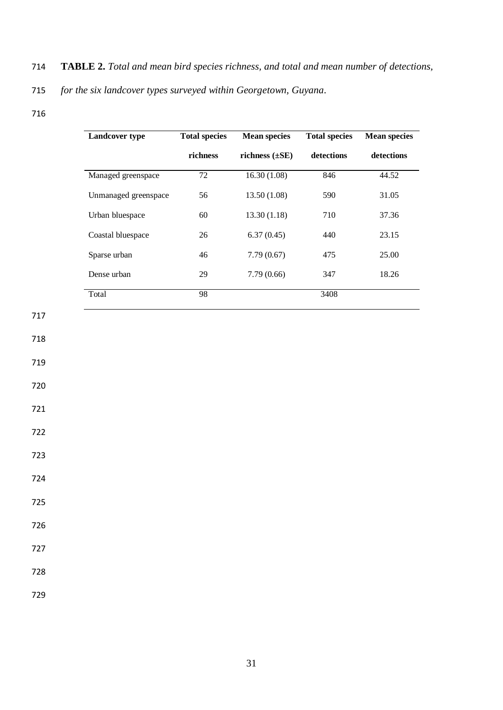714 **TABLE 2.** *Total and mean bird species richness, and total and mean number of detections,*

715 *for the six landcover types surveyed within Georgetown, Guyana.*

| <b>Landcover type</b> | <b>Total species</b> | <b>Mean species</b> | <b>Total species</b> | <b>Mean species</b> |
|-----------------------|----------------------|---------------------|----------------------|---------------------|
|                       | richness             | richness $(\pm SE)$ | detections           | detections          |
| Managed greenspace    | $72\,$               | 16.30(1.08)         | 846                  | 44.52               |
| Unmanaged greenspace  | 56                   | 13.50(1.08)         | 590                  | 31.05               |
| Urban bluespace       | 60                   | 13.30(1.18)         | 710                  | 37.36               |
| Coastal bluespace     | 26                   | 6.37(0.45)          | 440                  | 23.15               |
| Sparse urban          | 46                   | 7.79(0.67)          | 475                  | 25.00               |
| Dense urban           | 29                   | 7.79(0.66)          | 347                  | 18.26               |
| Total                 | 98                   |                     | 3408                 |                     |

720

717

718

719

- 721
- 722
- 723

724

725

- 
- 726
- 727

728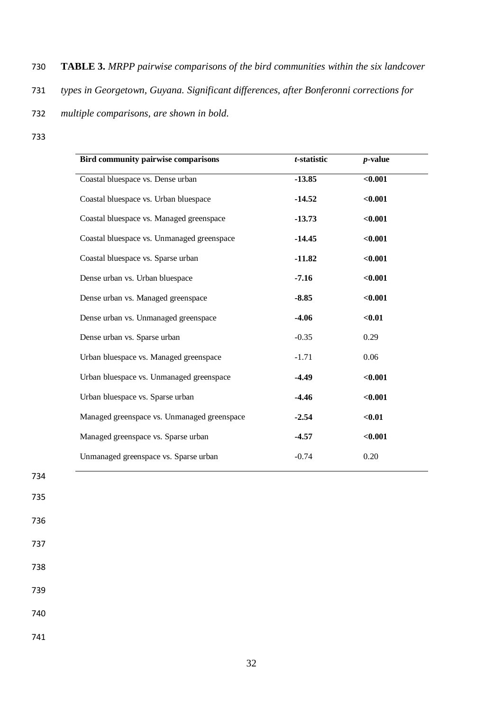### 730 **TABLE 3.** *MRPP pairwise comparisons of the bird communities within the six landcover*

731 *types in Georgetown, Guyana. Significant differences, after Bonferonni corrections for* 

#### 732 *multiple comparisons, are shown in bold.*

733

| <b>Bird community pairwise comparisons</b>  | t-statistic | $p$ -value |
|---------------------------------------------|-------------|------------|
| Coastal bluespace vs. Dense urban           | $-13.85$    | < 0.001    |
| Coastal bluespace vs. Urban bluespace       | $-14.52$    | < 0.001    |
| Coastal bluespace vs. Managed greenspace    | $-13.73$    | < 0.001    |
| Coastal bluespace vs. Unmanaged greenspace  | $-14.45$    | < 0.001    |
| Coastal bluespace vs. Sparse urban          | $-11.82$    | < 0.001    |
| Dense urban vs. Urban bluespace             | $-7.16$     | < 0.001    |
| Dense urban vs. Managed greenspace          | $-8.85$     | < 0.001    |
| Dense urban vs. Unmanaged greenspace        | $-4.06$     | $0.01$     |
| Dense urban vs. Sparse urban                | $-0.35$     | 0.29       |
| Urban bluespace vs. Managed greenspace      | $-1.71$     | 0.06       |
| Urban bluespace vs. Unmanaged greenspace    | $-4.49$     | < 0.001    |
| Urban bluespace vs. Sparse urban            | $-4.46$     | < 0.001    |
| Managed greenspace vs. Unmanaged greenspace | $-2.54$     | $0.01$     |
| Managed greenspace vs. Sparse urban         | $-4.57$     | < 0.001    |
| Unmanaged greenspace vs. Sparse urban       | $-0.74$     | 0.20       |

## 735 736

734

737

738

739

740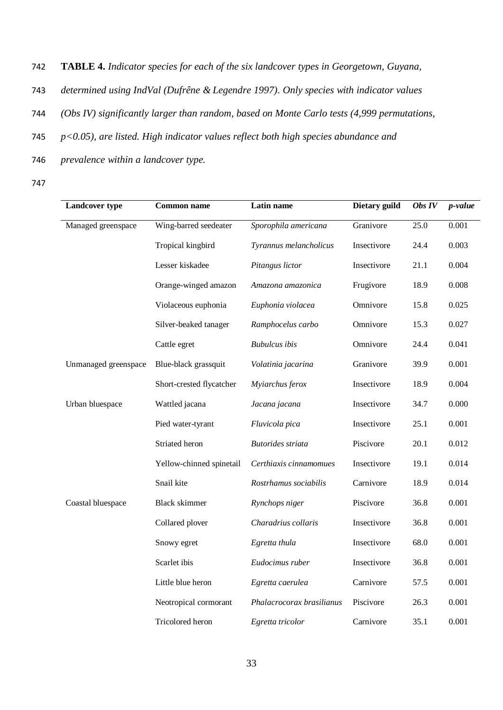742 **TABLE 4.** *Indicator species for each of the six landcover types in Georgetown, Guyana,*

- 743 *determined using IndVal (Dufrêne & Legendre 1997). Only species with indicator values*
- 744 *(Obs IV) significantly larger than random, based on Monte Carlo tests (4,999 permutations,*
- 745 *p<0.05), are listed. High indicator values reflect both high species abundance and*
- 746 *prevalence within a landcover type.*
- 747

| <b>Landcover type</b> | <b>Common name</b>       | Latin name                | Dietary guild | Obs IV            | <i>p</i> -value |
|-----------------------|--------------------------|---------------------------|---------------|-------------------|-----------------|
| Managed greenspace    | Wing-barred seedeater    | Sporophila americana      | Granivore     | $\overline{25.0}$ | 0.001           |
|                       | Tropical kingbird        | Tyrannus melancholicus    | Insectivore   | 24.4              | 0.003           |
|                       | Lesser kiskadee          | Pitangus lictor           | Insectivore   | 21.1              | 0.004           |
|                       | Orange-winged amazon     | Amazona amazonica         | Frugivore     | 18.9              | 0.008           |
|                       | Violaceous euphonia      | Euphonia violacea         | Omnivore      | 15.8              | 0.025           |
|                       | Silver-beaked tanager    | Ramphocelus carbo         | Omnivore      | 15.3              | 0.027           |
|                       | Cattle egret             | <b>Bubulcus</b> ibis      | Omnivore      | 24.4              | 0.041           |
| Unmanaged greenspace  | Blue-black grassquit     | Volatinia jacarina        | Granivore     | 39.9              | 0.001           |
|                       | Short-crested flycatcher | Myiarchus ferox           | Insectivore   | 18.9              | 0.004           |
| Urban bluespace       | Wattled jacana           | Jacana jacana             | Insectivore   | 34.7              | 0.000           |
|                       | Pied water-tyrant        | Fluvicola pica            | Insectivore   | 25.1              | 0.001           |
|                       | Striated heron           | <b>Butorides</b> striata  | Piscivore     | 20.1              | 0.012           |
|                       | Yellow-chinned spinetail | Certhiaxis cinnamomues    | Insectivore   | 19.1              | 0.014           |
|                       | Snail kite               | Rostrhamus sociabilis     | Carnivore     | 18.9              | 0.014           |
| Coastal bluespace     | <b>Black skimmer</b>     | Rynchops niger            | Piscivore     | 36.8              | 0.001           |
|                       | Collared plover          | Charadrius collaris       | Insectivore   | 36.8              | 0.001           |
|                       | Snowy egret              | Egretta thula             | Insectivore   | 68.0              | 0.001           |
|                       | Scarlet ibis             | Eudocimus ruber           | Insectivore   | 36.8              | 0.001           |
|                       | Little blue heron        | Egretta caerulea          | Carnivore     | 57.5              | 0.001           |
|                       | Neotropical cormorant    | Phalacrocorax brasilianus | Piscivore     | 26.3              | 0.001           |
|                       | Tricolored heron         | Egretta tricolor          | Carnivore     | 35.1              | 0.001           |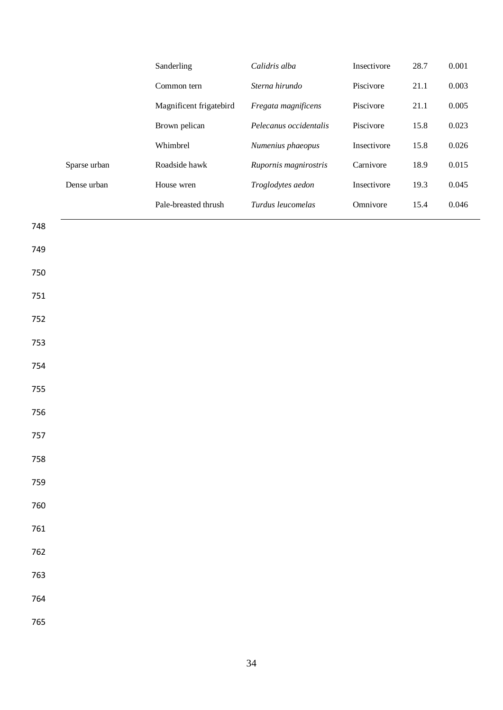|     |              | Sanderling              | Calidris alba          | Insectivore | 28.7 | $0.001\,$ |
|-----|--------------|-------------------------|------------------------|-------------|------|-----------|
|     |              | Common tern             | Sterna hirundo         | Piscivore   | 21.1 | 0.003     |
|     |              | Magnificent frigatebird | Fregata magnificens    | Piscivore   | 21.1 | $0.005\,$ |
|     |              | Brown pelican           | Pelecanus occidentalis | Piscivore   | 15.8 | 0.023     |
|     |              | Whimbrel                | Numenius phaeopus      | Insectivore | 15.8 | $0.026\,$ |
|     | Sparse urban | Roadside hawk           | Rupornis magnirostris  | Carnivore   | 18.9 | 0.015     |
|     | Dense urban  | House wren              | Troglodytes aedon      | Insectivore | 19.3 | 0.045     |
|     |              | Pale-breasted thrush    | Turdus leucomelas      | Omnivore    | 15.4 | $0.046\,$ |
| 748 |              |                         |                        |             |      |           |
| 749 |              |                         |                        |             |      |           |
| 750 |              |                         |                        |             |      |           |
| 751 |              |                         |                        |             |      |           |
| 752 |              |                         |                        |             |      |           |
| 753 |              |                         |                        |             |      |           |
| 754 |              |                         |                        |             |      |           |
| 755 |              |                         |                        |             |      |           |
| 756 |              |                         |                        |             |      |           |
| 757 |              |                         |                        |             |      |           |
| 758 |              |                         |                        |             |      |           |
| 759 |              |                         |                        |             |      |           |
| 760 |              |                         |                        |             |      |           |
| 761 |              |                         |                        |             |      |           |
| 762 |              |                         |                        |             |      |           |
| 763 |              |                         |                        |             |      |           |
| 764 |              |                         |                        |             |      |           |
| 765 |              |                         |                        |             |      |           |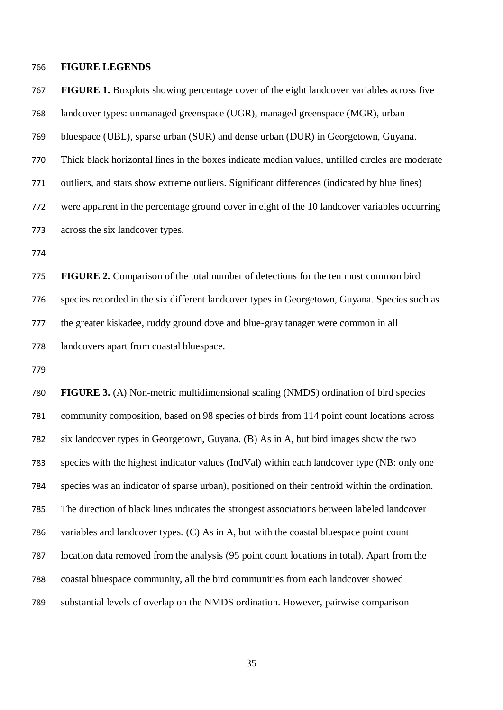#### **FIGURE LEGENDS**

 landcover types: unmanaged greenspace (UGR), managed greenspace (MGR), urban bluespace (UBL), sparse urban (SUR) and dense urban (DUR) in Georgetown, Guyana. Thick black horizontal lines in the boxes indicate median values, unfilled circles are moderate outliers, and stars show extreme outliers. Significant differences (indicated by blue lines) were apparent in the percentage ground cover in eight of the 10 landcover variables occurring across the six landcover types. **FIGURE 2.** Comparison of the total number of detections for the ten most common bird

**FIGURE 1.** Boxplots showing percentage cover of the eight landcover variables across five

the greater kiskadee, ruddy ground dove and blue-gray tanager were common in all

species recorded in the six different landcover types in Georgetown, Guyana. Species such as

landcovers apart from coastal bluespace.

 **FIGURE 3.** (A) Non-metric multidimensional scaling (NMDS) ordination of bird species community composition, based on 98 species of birds from 114 point count locations across six landcover types in Georgetown, Guyana. (B) As in A, but bird images show the two species with the highest indicator values (IndVal) within each landcover type (NB: only one species was an indicator of sparse urban), positioned on their centroid within the ordination. The direction of black lines indicates the strongest associations between labeled landcover variables and landcover types. (C) As in A, but with the coastal bluespace point count location data removed from the analysis (95 point count locations in total). Apart from the coastal bluespace community, all the bird communities from each landcover showed substantial levels of overlap on the NMDS ordination. However, pairwise comparison